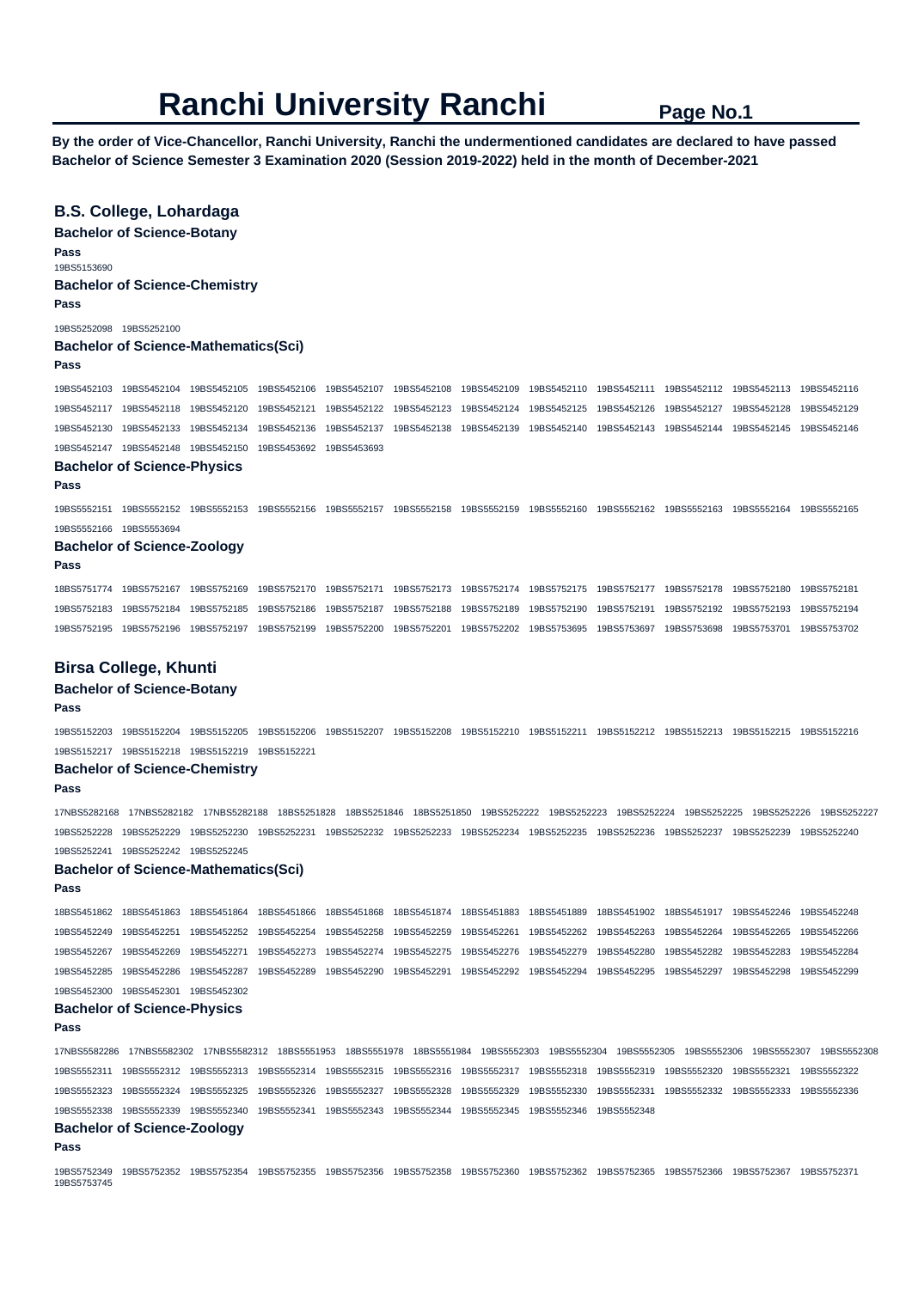**By the order of Vice-Chancellor, Ranchi University, Ranchi the undermentioned candidates are declared to have passed Bachelor of Science Semester 3 Examination 2020 (Session 2019-2022) held in the month of December-2021** 

## **B.S. College, Lohardaga**

**Bachelor of Science-Botany** 

**Pass** 

19BS5153690

#### **Bachelor of Science-Chemistry**

**Pass** 

19BS5252098 19BS5252100

#### **Bachelor of Science-Mathematics(Sci)**

#### **Pass**

19BS5452103 19BS5452104 19BS5452105 19BS5452106 19BS5452107 19BS5452108 19BS5452109 19BS5452110 19BS5452111 19BS5452112 19BS5452113 19BS5452116 19BS5452117 19BS5452118 19BS5452120 19BS5452121 19BS5452122 19BS5452123 19BS5452124 19BS5452125 19BS5452126 19BS5452127 19BS5452128 19BS5452129 19BS5452130 19BS5452133 19BS5452134 19BS5452136 19BS5452137 19BS5452138 19BS5452139 19BS5452140 19BS5452143 19BS5452144 19BS5452145 19BS5452146 19BS5452147 19BS5452148 19BS5452150 19BS5453692 19BS5453693

## **Bachelor of Science-Physics**

**Pass** 

19BS5552151 19BS5552152 19BS5552153 19BS5552156 19BS5552157 19BS5552158 19BS5552159 19BS5552160 19BS5552162 19BS5552163 19BS5552164 19BS5552165 19BS5552166 19BS5553694

#### **Bachelor of Science-Zoology**

#### **Pass**

18BS5751774 19BS5752167 19BS5752169 19BS5752170 19BS5752171 19BS5752173 19BS5752174 19BS5752175 19BS5752177 19BS5752178 19BS5752180 19BS5752181 19BS5752183 19BS5752184 19BS5752185 19BS5752186 19BS5752187 19BS5752188 19BS5752189 19BS5752190 19BS5752191 19BS5752192 19BS5752193 19BS5752194 19BS5752195 19BS5752196 19BS5752197 19BS5752199 19BS5752200 19BS5752201 19BS5752202 19BS5753695 19BS5753697 19BS5753698 19BS5753701 19BS5753702

## **Birsa College, Khunti**

### **Bachelor of Science-Botany**

#### **Pass**

19BS5152203 19BS5152204 19BS5152205 19BS5152206 19BS5152207 19BS5152208 19BS5152210 19BS5152211 19BS5152212 19BS5152213 19BS5152215 19BS5152216 19BS5152217 19BS5152218 19BS5152219 19BS5152221

#### **Bachelor of Science-Chemistry**

**Pass** 

17NBS5282168 17NBS5282182 17NBS5282188 18BS5251828 18BS5251846 18BS5251850 19BS5252222 19BS5252223 19BS5252224 19BS5252225 19BS5252226 19BS5252227 19BS5252228 19BS5252229 19BS5252230 19BS5252231 19BS5252232 19BS5252233 19BS5252234 19BS5252235 19BS5252236 19BS5252237 19BS5252239 19BS5252240 19BS5252241 19BS5252242 19BS5252245

#### **Bachelor of Science-Mathematics(Sci)**

#### **Pass**

18BS5451862 18BS5451863 18BS5451864 18BS5451866 18BS5451868 18BS5451874 18BS5451883 18BS5451889 18BS5451902 18BS5451917 19BS5452246 19BS5452248 19BS5452249 19BS5452251 19BS5452252 19BS5452254 19BS5452258 19BS5452259 19BS5452261 19BS5452262 19BS5452263 19BS5452264 19BS5452265 19BS5452266 19BS5452267 19BS5452269 19BS5452271 19BS5452273 19BS5452274 19BS5452275 19BS5452276 19BS5452279 19BS5452280 19BS5452282 19BS5452283 19BS5452284 19BS5452285 19BS5452286 19BS5452287 19BS5452289 19BS5452290 19BS5452291 19BS5452292 19BS5452294 19BS5452295 19BS5452297 19BS5452298 19BS5452299 19BS5452300 19BS5452301 19BS5452302

#### **Bachelor of Science-Physics**

#### **Pass**

17NBS5582286 17NBS5582302 17NBS5582312 18BS5551953 18BS5551978 18BS5551984 19BS5552303 19BS5552304 19BS5552305 19BS5552306 19BS5552307 19BS5552308 19BS5552311 19BS5552312 19BS5552313 19BS5552314 19BS5552315 19BS5552316 19BS5552317 19BS5552318 19BS5552319 19BS5552320 19BS5552321 19BS5552322 19BS5552323 19BS5552324 19BS5552325 19BS5552326 19BS5552327 19BS5552328 19BS5552329 19BS5552330 19BS5552331 19BS5552332 19BS5552333 19BS5552336 19BS5552338 19BS5552339 19BS5552340 19BS5552341 19BS5552343 19BS5552344 19BS5552345 19BS5552346 19BS5552348

## **Bachelor of Science-Zoology**

## **Pass**

19BS5752349 19BS5752352 19BS5752354 19BS5752355 19BS5752356 19BS5752358 19BS5752360 19BS5752362 19BS5752365 19BS5752366 19BS5752367 19BS5752371 19BS5753745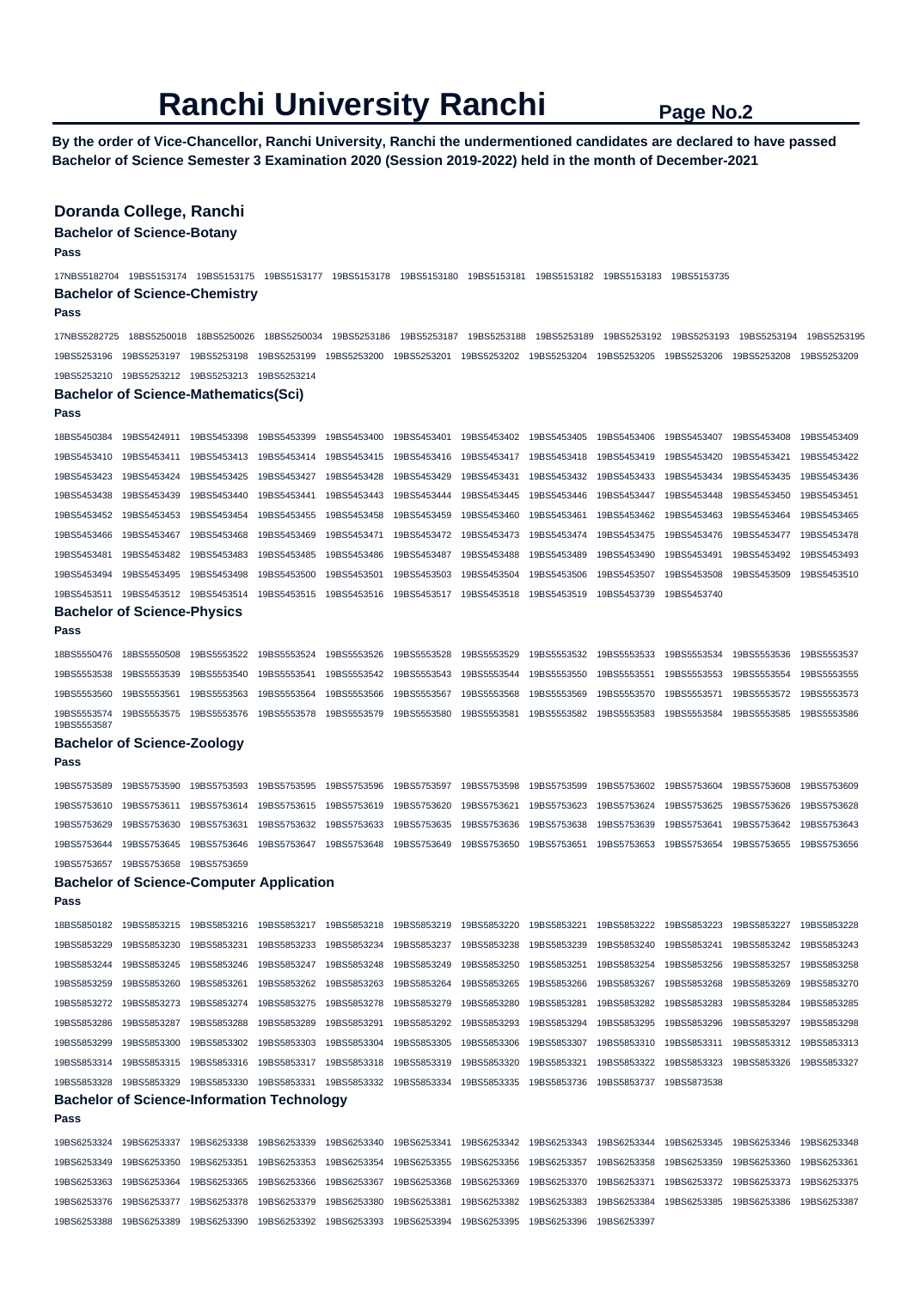**By the order of Vice-Chancellor, Ranchi University, Ranchi the undermentioned candidates are declared to have passed Bachelor of Science Semester 3 Examination 2020 (Session 2019-2022) held in the month of December-2021** 

## **Doranda College, Ranchi**

## **Bachelor of Science-Botany**

**Pass** 

17NBS5182704 19BS5153174 19BS5153175 19BS5153177 19BS5153178 19BS5153180 19BS5153181 19BS5153182 19BS5153183 19BS5153735 **Bachelor of Science-Chemistry** 

#### **Pass**

17NBS5282725 18BS5250018 18BS5250026 18BS5250034 19BS5253186 19BS5253187 19BS5253188 19BS5253189 19BS5253192 19BS5253193 19BS5253194 19BS5253195 19BS5253196 19BS5253197 19BS5253198 19BS5253199 19BS5253200 19BS5253201 19BS5253202 19BS5253204 19BS5253205 19BS5253206 19BS5253208 19BS5253209 19BS5253210 19BS5253212 19BS5253213 19BS5253214

#### **Bachelor of Science-Mathematics(Sci)**

**Pass** 

18BS5450384 19BS5424911 19BS5453398 19BS5453399 19BS5453400 19BS5453401 19BS5453402 19BS5453405 19BS5453406 19BS5453407 19BS5453408 19BS5453409 19BS5453410 19BS5453411 19BS5453413 19BS5453414 19BS5453415 19BS5453416 19BS5453417 19BS5453418 19BS5453419 19BS5453420 19BS5453421 19BS5453422 19BS5453423 19BS5453424 19BS5453425 19BS5453427 19BS5453428 19BS5453429 19BS5453431 19BS5453432 19BS5453433 19BS5453434 19BS5453435 19BS5453436 19BS5453438 19BS5453439 19BS5453440 19BS5453441 19BS5453443 19BS5453444 19BS5453445 19BS5453446 19BS5453447 19BS5453448 19BS5453450 19BS5453451 19BS5453452 19BS5453453 19BS5453454 19BS5453455 19BS5453458 19BS5453459 19BS5453460 19BS5453461 19BS5453462 19BS5453463 19BS5453464 19BS5453465 19BS5453466 19BS5453467 19BS5453468 19BS5453469 19BS5453471 19BS5453472 19BS5453473 19BS5453474 19BS5453475 19BS5453476 19BS5453477 19BS5453478 19BS5453481 19BS5453482 19BS5453483 19BS5453485 19BS5453486 19BS5453487 19BS5453488 19BS5453489 19BS5453490 19BS5453491 19BS5453492 19BS5453493 19BS5453494 19BS5453495 19BS5453498 19BS5453500 19BS5453501 19BS5453503 19BS5453504 19BS5453506 19BS5453507 19BS5453508 19BS5453509 19BS5453510 19BS5453511 19BS5453512 19BS5453514 19BS5453515 19BS5453516 19BS5453517 19BS5453518 19BS5453519 19BS5453739 19BS5453740

#### **Bachelor of Science-Physics**

**Pass** 

**Pass** 

18BS5550476 18BS5550508 19BS5553522 19BS5553524 19BS5553526 19BS5553528 19BS5553529 19BS5553532 19BS5553533 19BS5553534 19BS5553536 19BS5553537 19BS5553538 19BS5553539 19BS5553540 19BS5553541 19BS5553542 19BS5553543 19BS5553544 19BS5553550 19BS5553551 19BS5553553 19BS5553554 19BS5553555 19BS5553560 19BS5553561 19BS5553563 19BS5553564 19BS5553566 19BS5553567 19BS5553568 19BS5553569 19BS5553570 19BS5553571 19BS5553572 19BS5553573 19BS5553574 19BS5553575 19BS5553576 19BS5553578 19BS5553579 19BS5553580 19BS5553581 19BS5553582 19BS5553583 19BS5553584 19BS5553585 19BS5553586 19BS5553587

#### **Bachelor of Science-Zoology**

19BS5753657 19BS5753658 19BS5753659

19BS5753589 19BS5753590 19BS5753593 19BS5753595 19BS5753596 19BS5753597 19BS5753598 19BS5753599 19BS5753602 19BS5753604 19BS5753608 19BS5753609 19BS5753610 19BS5753611 19BS5753614 19BS5753615 19BS5753619 19BS5753620 19BS5753621 19BS5753623 19BS5753624 19BS5753625 19BS5753626 19BS5753628 19BS5753629 19BS5753630 19BS5753631 19BS5753632 19BS5753633 19BS5753635 19BS5753636 19BS5753638 19BS5753639 19BS5753641 19BS5753642 19BS5753643 19BS5753644 19BS5753645 19BS5753646 19BS5753647 19BS5753648 19BS5753649 19BS5753650 19BS5753651 19BS5753653 19BS5753654 19BS5753655 19BS5753656

#### **Bachelor of Science-Computer Application**

**Pass** 

18BS5850182 19BS5853215 19BS5853216 19BS5853217 19BS5853218 19BS5853219 19BS5853220 19BS5853221 19BS5853222 19BS5853223 19BS5853227 19BS5853228 19BS5853229 19BS5853230 19BS5853231 19BS5853233 19BS5853234 19BS5853237 19BS5853238 19BS5853239 19BS5853240 19BS5853241 19BS5853242 19BS5853243 19BS5853244 19BS5853245 19BS5853246 19BS5853247 19BS5853248 19BS5853249 19BS5853250 19BS5853251 19BS5853254 19BS5853256 19BS5853257 19BS5853258 19BS5853259 19BS5853260 19BS5853261 19BS5853262 19BS5853263 19BS5853264 19BS5853265 19BS5853266 19BS5853267 19BS5853268 19BS5853269 19BS5853270 19BS5853272 19BS5853273 19BS5853274 19BS5853275 19BS5853278 19BS5853279 19BS5853280 19BS5853281 19BS5853282 19BS5853283 19BS5853284 19BS5853285 19BS5853286 19BS5853287 19BS5853288 19BS5853289 19BS5853291 19BS5853292 19BS5853293 19BS5853294 19BS5853295 19BS5853296 19BS5853297 19BS5853298 19BS5853299 19BS5853300 19BS5853302 19BS5853303 19BS5853304 19BS5853305 19BS5853306 19BS5853307 19BS5853310 19BS5853311 19BS5853312 19BS5853313 19BS5853314 19BS5853315 19BS5853316 19BS5853317 19BS5853318 19BS5853319 19BS5853320 19BS5853321 19BS5853322 19BS5853323 19BS5853326 19BS5853327 19BS5853328 19BS5853329 19BS5853330 19BS5853331 19BS5853332 19BS5853334 19BS5853335 19BS5853736 19BS5853737 19BS5873538 **Bachelor of Science-Information Technology Pass**  19BS6253324 19BS6253337 19BS6253338 19BS6253339 19BS6253340 19BS6253341 19BS6253342 19BS6253343 19BS6253344 19BS6253345 19BS6253346 19BS6253348

## 19BS6253349 19BS6253350 19BS6253351 19BS6253353 19BS6253354 19BS6253355 19BS6253356 19BS6253357 19BS6253358 19BS6253359 19BS6253360 19BS6253361 19BS6253363 19BS6253364 19BS6253365 19BS6253366 19BS6253367 19BS6253368 19BS6253369 19BS6253370 19BS6253371 19BS6253372 19BS6253373 19BS6253375 19BS6253376 19BS6253377 19BS6253378 19BS6253379 19BS6253380 19BS6253381 19BS6253382 19BS6253383 19BS6253384 19BS6253385 19BS6253386 19BS6253387 19BS6253388 19BS6253389 19BS6253390 19BS6253392 19BS6253393 19BS6253394 19BS6253395 19BS6253396 19BS6253397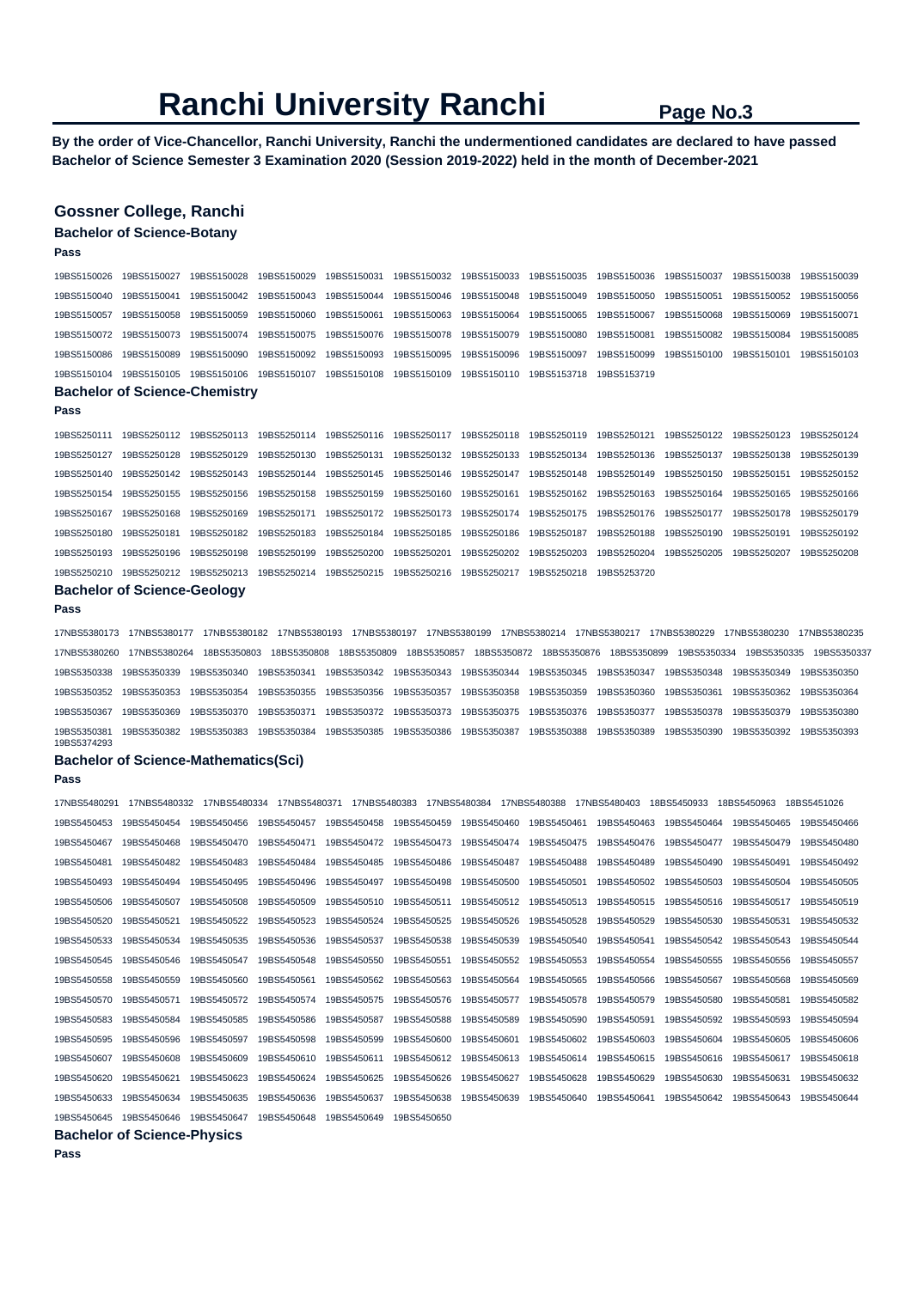**By the order of Vice-Chancellor, Ranchi University, Ranchi the undermentioned candidates are declared to have passed Bachelor of Science Semester 3 Examination 2020 (Session 2019-2022) held in the month of December-2021** 

## **Gossner College, Ranchi**

**Bachelor of Science-Botany** 

| <b>Dephalar of Coinnes Chamistry</b> |                                                                                                                                     |  |                                                                                     |  |  |                                                    |  |  |                                       |                         |  |
|--------------------------------------|-------------------------------------------------------------------------------------------------------------------------------------|--|-------------------------------------------------------------------------------------|--|--|----------------------------------------------------|--|--|---------------------------------------|-------------------------|--|
|                                      | 19BS5150104 19BS5150105 19BS5150106 19BS5150107 19BS5150108 19BS5150109 19BS5150110 19BS5153718 19BS5153719                         |  |                                                                                     |  |  |                                                    |  |  |                                       |                         |  |
| 19BS5150086                          | 19BS5150089                                                                                                                         |  |                                                                                     |  |  |                                                    |  |  |                                       |                         |  |
| 19BS5150072                          | 19BS5150073                                                                                                                         |  |                                                                                     |  |  | 19BS5150078  19BS5150079  19BS5150080  19BS5150081 |  |  | 19BS5150082  19BS5150084  19BS5150085 |                         |  |
| 19BS5150057                          | 19BS5150058 19BS5150059 19BS5150060 19BS5150061 19BS5150063 19BS5150064 19BS5150065 19BS5150067 19BS5150068 19BS5150069 19BS5150071 |  |                                                                                     |  |  |                                                    |  |  |                                       |                         |  |
| 19BS5150040                          | 19BS5150041                                                                                                                         |  | 19BS5150042 19BS5150043 19BS5150044 19BS5150046 19BS5150048 19BS5150049 19BS5150050 |  |  |                                                    |  |  | 19BS5150051                           | 19BS5150052 19BS5150056 |  |
| 19BS5150026                          | 19BS5150027                                                                                                                         |  |                                                                                     |  |  |                                                    |  |  |                                       |                         |  |
|                                      |                                                                                                                                     |  |                                                                                     |  |  |                                                    |  |  |                                       |                         |  |

#### **Bachelor of Science-Chemistry**

**Pass** 

**Pass** 

|                                       |             | 19BS5250111 19BS5250112 19BS5250113 19BS5250114 19BS5250116 19BS5250117 19BS5250118 19BS5250119 19BS5250121 19BS5250122 19BS5250123 19BS5250124 |             |                                       |                         |             |
|---------------------------------------|-------------|-------------------------------------------------------------------------------------------------------------------------------------------------|-------------|---------------------------------------|-------------------------|-------------|
| 19BS5250127 19BS5250128               | 19BS5250129 | 19BS5250130 19BS5250131 19BS5250132 19BS5250133 19BS5250134 19BS5250136 19BS5250137 19BS5250138 19BS5250139                                     |             |                                       |                         |             |
|                                       |             | 19BS5250140 19BS5250142 19BS5250143 19BS5250144 19BS5250145 19BS5250146 19BS5250147 19BS5250148 19BS5250149 19BS5250150 19BS5250151 19BS5250152 |             |                                       |                         |             |
|                                       |             | 19BS5250154 19BS5250155 19BS5250156 19BS5250158 19BS5250159 19BS5250160 19BS5250161 19BS5250162 19BS5250163 19BS5250164 19BS5250165 19BS5250166 |             |                                       |                         |             |
| 19BS5250167  19BS5250168  19BS5250169 |             | 19BS5250171 19BS5250172 19BS5250173 19BS5250174 19BS5250175 19BS5250176 19BS5250177 19BS5250178 19BS5250179                                     |             |                                       |                         |             |
| 19BS5250180  19BS5250181  19BS5250182 |             |                                                                                                                                                 |             |                                       | 19BS5250190 19BS5250191 | 19BS5250192 |
| 19BS5250193 19BS5250196               | 19BS5250198 |                                                                                                                                                 | 19BS5250201 |                                       | 19BS5250205 19BS5250207 | 19BS5250208 |
|                                       |             | 19BS5250210 19BS5250212 19BS5250213 19BS5250214 19BS5250215 19BS5250216                                                                         |             | 19BS5250217  19BS5250218  19BS5253720 |                         |             |

#### **Bachelor of Science-Geology**

**Pass** 

17NBS5380173 17NBS5380177 17NBS5380182 17NBS5380193 17NBS5380197 17NBS5380199 17NBS5380214 17NBS5380217 17NBS5380229 17NBS5380230 17NBS5380235 17NBS5380260 17NBS5380264 18BS5350803 18BS5350808 18BS5350809 18BS5350857 18BS5350872 18BS5350876 18BS5350899 19BS5350334 19BS5350335 19BS5350337 19BS5350338 19BS5350339 19BS5350340 19BS5350341 19BS5350342 19BS5350343 19BS5350344 19BS5350345 19BS5350347 19BS5350348 19BS5350349 19BS5350350 19BS5350352 19BS5350353 19BS5350354 19BS5350355 19BS5350356 19BS5350357 19BS5350358 19BS5350359 19BS5350360 19BS5350361 19BS5350362 19BS5350364 19BS5350367 19BS5350369 19BS5350370 19BS5350371 19BS5350372 19BS5350373 19BS5350375 19BS5350376 19BS5350377 19BS5350378 19BS5350379 19BS5350380 19BS5350381 19BS5350382 19BS5350383 19BS5350384 19BS5350385 19BS5350386 19BS5350387 19BS5350388 19BS5350389 19BS5350390 19BS5350392 19BS5350393 19BS5374293

### **Bachelor of Science-Mathematics(Sci)**

**Pass** 

| 17NBS5480291 | 17NBS5480332 | 17NBS5480334 | 17NBS5480371 | 17NBS5480383 |             |             | 17NBS5480384 17NBS5480388 | 17NBS5480403 | 18BS5450933 | 18BS5450963 | 18BS5451026 |
|--------------|--------------|--------------|--------------|--------------|-------------|-------------|---------------------------|--------------|-------------|-------------|-------------|
| 19BS5450453  | 19BS5450454  | 19BS5450456  | 19BS5450457  | 19BS5450458  | 19BS5450459 | 19BS5450460 | 19BS5450461               | 19BS5450463  | 19BS5450464 | 19BS5450465 | 19BS5450466 |
| 19BS5450467  | 19BS5450468  | 19BS5450470  | 19BS5450471  | 19BS5450472  | 19BS5450473 | 19BS5450474 | 19BS5450475               | 19BS5450476  | 19BS5450477 | 19BS5450479 | 19BS5450480 |
| 19BS5450481  | 19BS5450482  | 19BS5450483  | 19BS5450484  | 19BS5450485  | 19BS5450486 | 19BS5450487 | 19BS5450488               | 19BS5450489  | 19BS5450490 | 19BS5450491 | 19BS5450492 |
| 19BS5450493  | 19BS5450494  | 19BS5450495  | 19BS5450496  | 19BS5450497  | 19BS5450498 | 19BS5450500 | 19BS5450501               | 19BS5450502  | 19BS5450503 | 19BS5450504 | 19BS5450505 |
| 19BS5450506  | 19BS5450507  | 19BS5450508  | 19BS5450509  | 19BS5450510  | 19BS5450511 | 19BS5450512 | 19BS5450513               | 19BS5450515  | 19BS5450516 | 19BS5450517 | 19BS5450519 |
| 19BS5450520  | 19BS5450521  | 19BS5450522  | 19BS5450523  | 19BS5450524  | 19BS5450525 | 19BS5450526 | 19BS5450528               | 19BS5450529  | 19BS5450530 | 19BS5450531 | 19BS5450532 |
| 19BS5450533  | 19BS5450534  | 19BS5450535  | 19BS5450536  | 19BS5450537  | 19BS5450538 | 19BS5450539 | 19BS5450540               | 19BS5450541  | 19BS5450542 | 19BS5450543 | 19BS5450544 |
| 19BS5450545  | 19BS5450546  | 19BS5450547  | 19BS5450548  | 19BS5450550  | 19BS5450551 | 19BS5450552 | 19BS5450553               | 19BS5450554  | 19BS5450555 | 19BS5450556 | 19BS5450557 |
| 19BS5450558  | 19BS5450559  | 19BS5450560  | 19BS5450561  | 19BS5450562  | 19BS5450563 | 19BS5450564 | 19BS5450565               | 19BS5450566  | 19BS5450567 | 19BS5450568 | 19BS5450569 |
| 19BS5450570  | 19BS5450571  | 19BS5450572  | 19BS5450574  | 19BS5450575  | 19BS5450576 | 19BS5450577 | 19BS5450578               | 19BS5450579  | 19BS5450580 | 19BS5450581 | 19BS5450582 |
| 19BS5450583  | 19BS5450584  | 19BS5450585  | 19BS5450586  | 19BS5450587  | 19BS5450588 | 19BS5450589 | 19BS5450590               | 19BS5450591  | 19BS5450592 | 19BS5450593 | 19BS5450594 |
| 19BS5450595  | 19BS5450596  | 19BS5450597  | 19BS5450598  | 19BS5450599  | 19BS5450600 | 19BS5450601 | 19BS5450602               | 19BS5450603  | 19BS5450604 | 19BS5450605 | 19BS5450606 |
| 19BS5450607  | 19BS5450608  | 19BS5450609  | 19BS5450610  | 19BS5450611  | 19BS5450612 | 19BS5450613 | 19BS5450614               | 19BS5450615  | 19BS5450616 | 19BS5450617 | 19BS5450618 |
| 19BS5450620  | 19BS5450621  | 19BS5450623  | 19BS5450624  | 19BS5450625  | 19BS5450626 | 19BS5450627 | 19BS5450628               | 19BS5450629  | 19BS5450630 | 19BS5450631 | 19BS5450632 |
| 19BS5450633  | 19BS5450634  | 19BS5450635  | 19BS5450636  | 19BS5450637  | 19BS5450638 | 19BS5450639 | 19BS5450640               | 19BS5450641  | 19BS5450642 | 19BS5450643 | 19BS5450644 |
| 19BS5450645  | 19BS5450646  | 19BS5450647  | 19BS5450648  | 19BS5450649  | 19BS5450650 |             |                           |              |             |             |             |
|              |              |              |              |              |             |             |                           |              |             |             |             |

## **Bachelor of Science-Physics**

**Pass**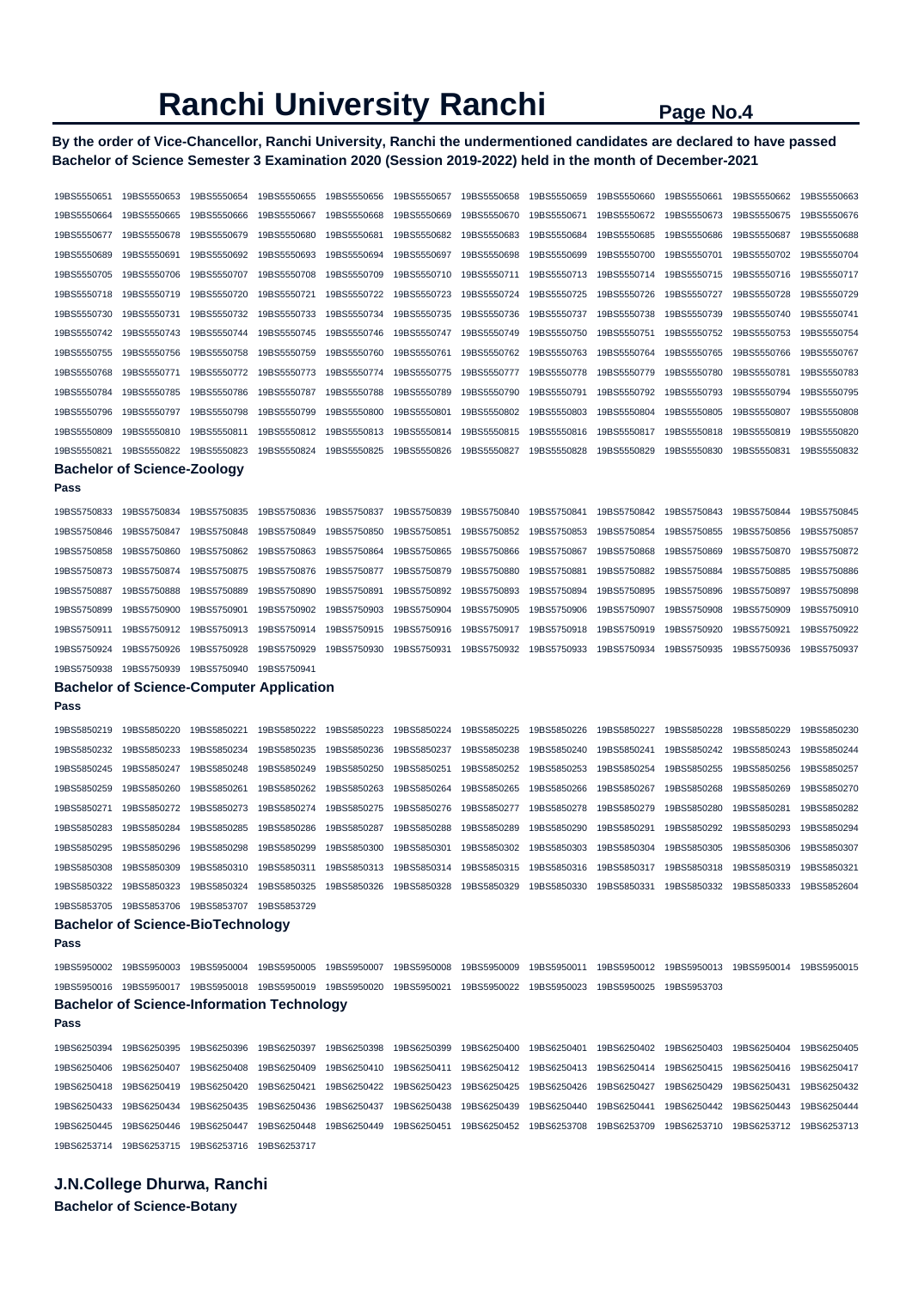**By the order of Vice-Chancellor, Ranchi University, Ranchi the undermentioned candidates are declared to have passed Bachelor of Science Semester 3 Examination 2020 (Session 2019-2022) held in the month of December-2021** 

| 19BS5550651                | 19BS5550653                                                                                                                         | 19BS5550654                | 19BS5550655                | 19BS5550656                | 19BS5550657                | 19BS5550658                | 19BS5550659                                                                  | 19BS5550660                | 19BS5550661                | 19BS5550662                | 19BS5550663                |
|----------------------------|-------------------------------------------------------------------------------------------------------------------------------------|----------------------------|----------------------------|----------------------------|----------------------------|----------------------------|------------------------------------------------------------------------------|----------------------------|----------------------------|----------------------------|----------------------------|
| 19BS5550664                | 19BS5550665                                                                                                                         | 19BS5550666                | 19BS5550667                | 19BS5550668                | 19BS5550669                | 19BS5550670                | 19BS5550671                                                                  | 19BS5550672                | 19BS5550673                | 19BS5550675                | 19BS5550676                |
| 19BS5550677                | 19BS5550678                                                                                                                         | 19BS5550679                | 19BS5550680                | 19BS5550681                | 19BS5550682                | 19BS5550683                | 19BS5550684                                                                  | 19BS5550685                | 19BS5550686                | 19BS5550687                | 19BS5550688                |
| 19BS5550689                | 19BS5550691                                                                                                                         | 19BS5550692                | 19BS5550693                | 19BS5550694                | 19BS5550697                | 19BS5550698                | 19BS5550699                                                                  | 19BS5550700                | 19BS5550701                | 19BS5550702                | 19BS5550704                |
| 19BS5550705                | 19BS5550706                                                                                                                         | 19BS5550707                | 19BS5550708                | 19BS5550709                | 19BS5550710                | 19BS5550711                | 19BS5550713                                                                  | 19BS5550714                | 19BS5550715                | 19BS5550716                | 19BS5550717                |
| 19BS5550718                | 19BS5550719                                                                                                                         | 19BS5550720                | 19BS5550721                | 19BS5550722                | 19BS5550723                | 19BS5550724                | 19BS5550725                                                                  | 19BS5550726                | 19BS5550727                | 19BS5550728                | 19BS5550729                |
| 19BS5550730                | 19BS5550731                                                                                                                         | 19BS5550732                | 19BS5550733                | 19BS5550734                | 19BS5550735                | 19BS5550736                | 19BS5550737                                                                  | 19BS5550738                | 19BS5550739                | 19BS5550740                | 19BS5550741                |
| 19BS5550742                | 19BS5550743                                                                                                                         | 19BS5550744                | 19BS5550745                | 19BS5550746                | 19BS5550747                | 19BS5550749                | 19BS5550750                                                                  | 19BS5550751                | 19BS5550752                | 19BS5550753                | 19BS5550754                |
| 19BS5550755                | 19BS5550756                                                                                                                         | 19BS5550758                | 19BS5550759                | 19BS5550760                | 19BS5550761                | 19BS5550762                | 19BS5550763                                                                  | 19BS5550764                | 19BS5550765                | 19BS5550766                | 19BS5550767                |
| 19BS5550768                | 19BS5550771                                                                                                                         | 19BS5550772                | 19BS5550773                | 19BS5550774                | 19BS5550775                | 19BS5550777                | 19BS5550778                                                                  | 19BS5550779                | 19BS5550780                | 19BS5550781                | 19BS5550783                |
| 19BS5550784                | 19BS5550785                                                                                                                         | 19BS5550786                | 19BS5550787                | 19BS5550788                | 19BS5550789                | 19BS5550790                | 19BS5550791                                                                  | 19BS5550792                | 19BS5550793                | 19BS5550794                | 19BS5550795                |
| 19BS5550796                | 19BS5550797                                                                                                                         | 19BS5550798                | 19BS5550799                | 19BS5550800                | 19BS5550801                | 19BS5550802                | 19BS5550803                                                                  | 19BS5550804                | 19BS5550805                | 19BS5550807                | 19BS5550808                |
| 19BS5550809                | 19BS5550810                                                                                                                         | 19BS5550811                | 19BS5550812                | 19BS5550813                | 19BS5550814                | 19BS5550815                | 19BS5550816                                                                  | 19BS5550817                | 19BS5550818                | 19BS5550819                | 19BS5550820                |
| 19BS5550821                | 19BS5550822                                                                                                                         | 19BS5550823                | 19BS5550824                | 19BS5550825                | 19BS5550826                | 19BS5550827                | 19BS5550828                                                                  | 19BS5550829                | 19BS5550830                | 19BS5550831                | 19BS5550832                |
|                            | <b>Bachelor of Science-Zoology</b>                                                                                                  |                            |                            |                            |                            |                            |                                                                              |                            |                            |                            |                            |
| Pass                       |                                                                                                                                     |                            |                            |                            |                            |                            |                                                                              |                            |                            |                            |                            |
| 19BS5750833                | 19BS5750834                                                                                                                         | 19BS5750835                | 19BS5750836                | 19BS5750837                | 19BS5750839                | 19BS5750840                | 19BS5750841                                                                  | 19BS5750842                | 19BS5750843                | 19BS5750844                | 19BS5750845                |
| 19BS5750846                | 19BS5750847                                                                                                                         | 19BS5750848                | 19BS5750849                | 19BS5750850                | 19BS5750851                | 19BS5750852                | 19BS5750853                                                                  | 19BS5750854                | 19BS5750855                | 19BS5750856                | 19BS5750857                |
| 19BS5750858                | 19BS5750860                                                                                                                         | 19BS5750862                | 19BS5750863                | 19BS5750864                | 19BS5750865                | 19BS5750866                | 19BS5750867                                                                  | 19BS5750868                | 19BS5750869                | 19BS5750870                | 19BS5750872                |
| 19BS5750873                | 19BS5750874                                                                                                                         | 19BS5750875                | 19BS5750876                | 19BS5750877                | 19BS5750879                | 19BS5750880                | 19BS5750881                                                                  | 19BS5750882                | 19BS5750884                | 19BS5750885                | 19BS5750886                |
| 19BS5750887                | 19BS5750888                                                                                                                         | 19BS5750889                | 19BS5750890                | 19BS5750891                | 19BS5750892                | 19BS5750893                | 19BS5750894                                                                  | 19BS5750895                | 19BS5750896                | 19BS5750897                | 19BS5750898                |
| 19BS5750899                | 19BS5750900                                                                                                                         | 19BS5750901                | 19BS5750902                | 19BS5750903                | 19BS5750904                | 19BS5750905                | 19BS5750906                                                                  | 19BS5750907                | 19BS5750908                | 19BS5750909                | 19BS5750910                |
| 19BS5750911                | 19BS5750912                                                                                                                         | 19BS5750913                | 19BS5750914                | 19BS5750915                | 19BS5750916                | 19BS5750917                | 19BS5750918                                                                  | 19BS5750919                | 19BS5750920                | 19BS5750921                | 19BS5750922                |
|                            | 19BS5750926                                                                                                                         | 19BS5750928                | 19BS5750929                | 19BS5750930                | 19BS5750931                | 19BS5750932                | 19BS5750933                                                                  | 19BS5750934                | 19BS5750935                | 19BS5750936                | 19BS5750937                |
| 19BS5750924                |                                                                                                                                     |                            |                            |                            |                            |                            |                                                                              |                            |                            |                            |                            |
| 19BS5750938                | 19BS5750939                                                                                                                         | 19BS5750940                | 19BS5750941                |                            |                            |                            |                                                                              |                            |                            |                            |                            |
| Pass                       | <b>Bachelor of Science-Computer Application</b>                                                                                     |                            |                            |                            |                            |                            |                                                                              |                            |                            |                            |                            |
|                            |                                                                                                                                     |                            |                            |                            |                            |                            |                                                                              |                            |                            |                            |                            |
| 19BS5850219                | 19BS5850220                                                                                                                         | 19BS5850221                | 19BS5850222                | 19BS5850223                | 19BS5850224                | 19BS5850225                | 19BS5850226                                                                  | 19BS5850227                | 19BS5850228                | 19BS5850229                | 19BS5850230                |
| 19BS5850232                | 19BS5850233                                                                                                                         | 19BS5850234                | 19BS5850235                | 19BS5850236                | 19BS5850237                | 19BS5850238                | 19BS5850240                                                                  | 19BS5850241                | 19BS5850242                | 19BS5850243                | 19BS5850244                |
| 19BS5850245                | 19BS5850247<br>19BS5850260                                                                                                          | 19BS5850248<br>19BS5850261 | 19BS5850249                | 19BS5850250                | 19BS5850251                | 19BS5850252                | 19BS5850253                                                                  | 19BS5850254                | 19BS5850255                | 19BS5850256                | 19BS5850257                |
| 19BS5850259<br>19BS5850271 | 19BS5850272                                                                                                                         | 19BS5850273                | 19BS5850262<br>19BS5850274 | 19BS5850263<br>19BS5850275 | 19BS5850264<br>19BS5850276 | 19BS5850265<br>19BS5850277 | 19BS5850266<br>19BS5850278                                                   | 19BS5850267<br>19BS5850279 | 19BS5850268<br>19BS5850280 | 19BS5850269<br>19BS5850281 | 19BS5850270<br>19BS5850282 |
| 19BS5850283                | 19BS5850284                                                                                                                         | 19BS5850285                | 19BS5850286                | 19BS5850287                | 19BS5850288                | 19BS5850289                | 19BS5850290                                                                  | 19BS5850291                | 19BS5850292                | 19BS5850293                | 19BS5850294                |
| 19BS5850295                | 19BS5850296                                                                                                                         | 19BS5850298                | 19BS5850299                | 19BS5850300                | 19BS5850301                | 19BS5850302                | 19BS5850303                                                                  | 19BS5850304                | 19BS5850305                | 19BS5850306                | 19BS5850307                |
| 19BS5850308                | 19BS5850309                                                                                                                         | 19BS5850310                | 19BS5850311                | 19BS5850313                | 19BS5850314                | 19BS5850315                | 19BS5850316                                                                  | 19BS5850317                | 19BS5850318                | 19BS5850319                | 19BS5850321                |
| 19BS5850322                | 19BS5850323 19BS5850324 19BS5850325 19BS5850326 19BS5850328 19BS5850329 19BS5850330 19BS5850331 19BS5850332 19BS5850333 19BS5852604 |                            |                            |                            |                            |                            |                                                                              |                            |                            |                            |                            |
| 19BS5853705                | 19BS5853706                                                                                                                         | 19BS5853707                | 19BS5853729                |                            |                            |                            |                                                                              |                            |                            |                            |                            |
|                            | <b>Bachelor of Science-BioTechnology</b>                                                                                            |                            |                            |                            |                            |                            |                                                                              |                            |                            |                            |                            |
| Pass                       |                                                                                                                                     |                            |                            |                            |                            |                            |                                                                              |                            |                            |                            |                            |
| 19BS5950002                |                                                                                                                                     |                            |                            |                            |                            |                            | 19BS5950009  19BS5950011  19BS5950012  19BS5950013  19BS5950014  19BS5950015 |                            |                            |                            |                            |
| 19BS5950016                | 19BS5950017  19BS5950018  19BS5950019  19BS5950020  19BS5950021                                                                     |                            |                            |                            |                            | 19BS5950022 19BS5950023    |                                                                              |                            |                            |                            |                            |
|                            | <b>Bachelor of Science-Information Technology</b>                                                                                   |                            |                            |                            |                            |                            |                                                                              |                            |                            |                            |                            |
| Pass                       |                                                                                                                                     |                            |                            |                            |                            |                            |                                                                              |                            |                            |                            |                            |
| 19BS6250394                | 19BS6250395                                                                                                                         | 19BS6250396                | 19BS6250397                | 19BS6250398                | 19BS6250399                | 19BS6250400                | 19BS6250401                                                                  | 19BS6250402                | 19BS6250403                | 19BS6250404                | 19BS6250405                |
| 19BS6250406                | 19BS6250407                                                                                                                         | 19BS6250408                | 19BS6250409                | 19BS6250410                | 19BS6250411                | 19BS6250412                | 19BS6250413                                                                  | 19BS6250414                | 19BS6250415                | 19BS6250416                | 19BS6250417                |
| 19BS6250418                | 19BS6250419                                                                                                                         | 19BS6250420                | 19BS6250421                | 19BS6250422                | 19BS6250423                | 19BS6250425                | 19BS6250426                                                                  | 19BS6250427                | 19BS6250429                | 19BS6250431                | 19BS6250432                |
| 19BS6250433                | 19BS6250434                                                                                                                         | 19BS6250435                | 19BS6250436                | 19BS6250437                | 19BS6250438                | 19BS6250439                | 19BS6250440                                                                  | 19BS6250441                | 19BS6250442                | 19BS6250443                | 19BS6250444                |
| 19BS6250445                | 19BS6250446                                                                                                                         | 19BS6250447                | 19BS6250448                | 19BS6250449                | 19BS6250451                | 19BS6250452 19BS6253708    |                                                                              | 19BS6253709                | 19BS6253710                | 19BS6253712                | 19BS6253713                |

**J.N.College Dhurwa, Ranchi Bachelor of Science-Botany**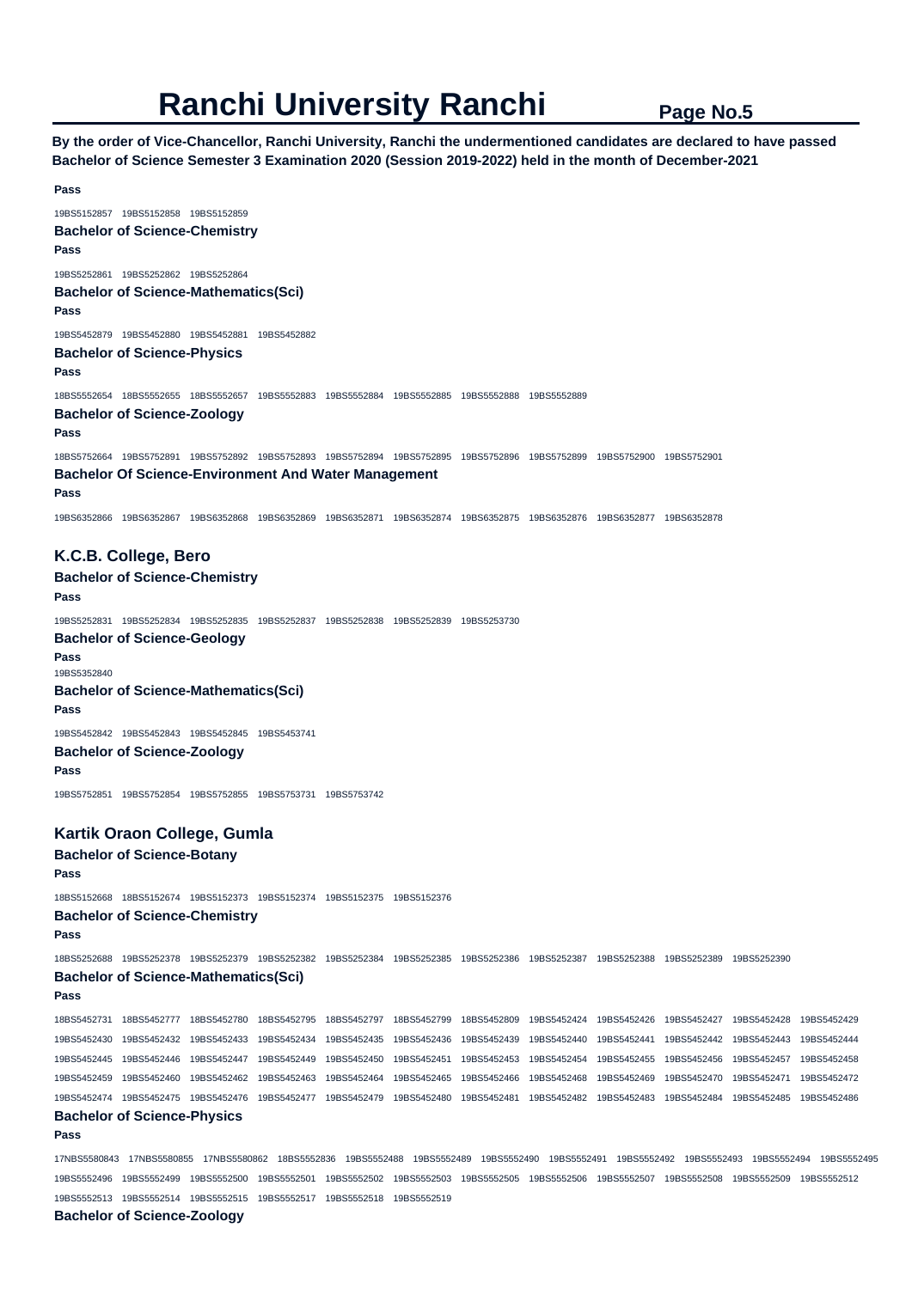**By the order of Vice-Chancellor, Ranchi University, Ranchi the undermentioned candidates are declared to have passed Bachelor of Science Semester 3 Examination 2020 (Session 2019-2022) held in the month of December-2021** 

```
Pass 
19BS5152857 19BS5152858 19BS5152859 
Bachelor of Science-Chemistry 
Pass 
19BS5252861 19BS5252862 19BS5252864 
Bachelor of Science-Mathematics(Sci) 
Pass 
19BS5452879 19BS5452880 19BS5452881 19BS5452882 
Bachelor of Science-Physics 
Pass 
18BS5552654 18BS5552655 18BS5552657 19BS5552883 19BS5552884 19BS5552885 19BS5552888 19BS5552889 
Bachelor of Science-Zoology 
Pass 
18BS5752664 19BS5752891 19BS5752892 19BS5752893 19BS5752894 19BS5752895 19BS5752896 19BS5752899 19BS5752900 19BS5752901 
Bachelor Of Science-Environment And Water Management 
Pass 
19BS6352866 19BS6352867 19BS6352868 19BS6352869 19BS6352871 19BS6352874 19BS6352875 19BS6352876 19BS6352877 19BS6352878 
K.C.B. College, Bero 
Bachelor of Science-Chemistry 
Pass 
19BS5252831 19BS5252834 19BS5252835 19BS5252837 19BS5252838 19BS5252839 19BS5253730 
Bachelor of Science-Geology 
Pass 
19BS5352840 
Bachelor of Science-Mathematics(Sci) 
Pass 
19BS5452842 19BS5452843 19BS5452845 19BS5453741 
Bachelor of Science-Zoology 
Pass 
19BS5752851 19BS5752854 19BS5752855 19BS5753731 19BS5753742 
Kartik Oraon College, Gumla 
Bachelor of Science-Botany 
Pass 
18BS5152668 18BS5152674 19BS5152373 19BS5152374 19BS5152375 19BS5152376 
Bachelor of Science-Chemistry 
Pass 
18BS5252688 19BS5252378 19BS5252379 19BS5252382 19BS5252384 19BS5252385 19BS5252386 19BS5252387 19BS5252388 19BS5252389 19BS5252390 
Bachelor of Science-Mathematics(Sci) 
Pass 
18BS5452731 18BS5452777 18BS5452780 18BS5452795 18BS5452797 18BS5452799 18BS5452809 19BS5452424 19BS5452426 19BS5452427 19BS5452428 19BS5452429 
19BS5452430 19BS5452432 19BS5452433 19BS5452434 19BS5452435 19BS5452436 19BS5452439 19BS5452440 19BS5452441 19BS5452442 19BS5452443 19BS5452444 
19BS5452445 19BS5452446 19BS5452447 19BS5452449 19BS5452450 19BS5452451 19BS5452453 19BS5452454 19BS5452455 19BS5452456 19BS5452457 19BS5452458 
19BS5452459 19BS5452460 19BS5452462 19BS5452463 19BS5452464 19BS5452465 19BS5452466 19BS5452468 19BS5452469 19BS5452470 19BS5452471 19BS5452472 
19BS5452474 19BS5452475 19BS5452476 19BS5452477 19BS5452479 19BS5452480 19BS5452481 19BS5452482 19BS5452483 19BS5452484 19BS5452485 19BS5452486 
Bachelor of Science-Physics 
Pass 
17NBS5580843 17NBS5580855 17NBS5580862 18BS5552836 19BS5552488 19BS5552489 19BS5552490 19BS5552491 19BS5552492 19BS5552493 19BS5552494 19BS5552495 
19BS5552496 19BS5552499 19BS5552500 19BS5552501 19BS5552502 19BS5552503 19BS5552505 19BS5552506 19BS5552507 19BS5552508 19BS5552509 19BS5552512 
19BS5552513 19BS5552514 19BS5552515 19BS5552517 19BS5552518 19BS5552519 
Bachelor of Science-Zoology
```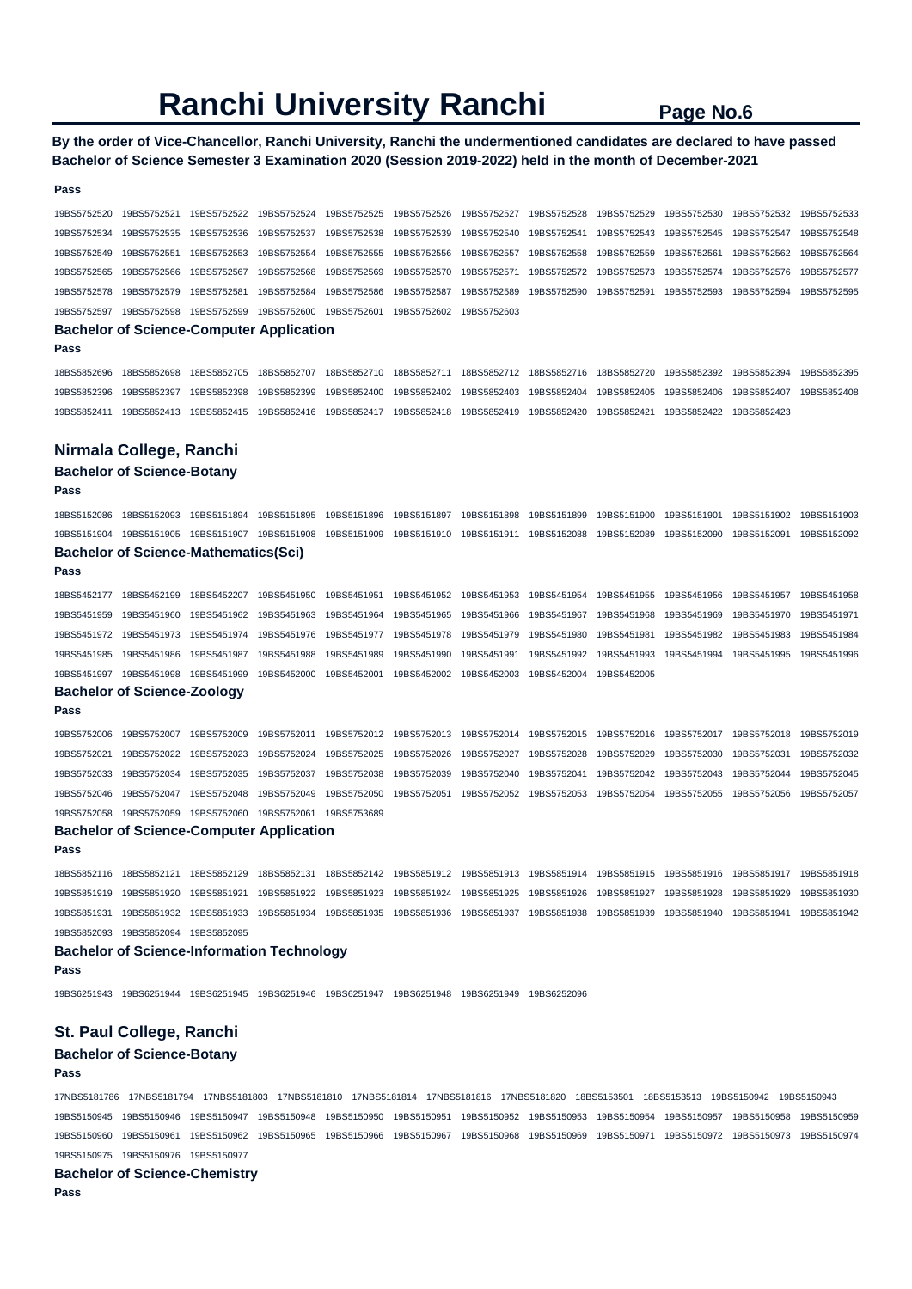**By the order of Vice-Chancellor, Ranchi University, Ranchi the undermentioned candidates are declared to have passed Bachelor of Science Semester 3 Examination 2020 (Session 2019-2022) held in the month of December-2021** 

#### **Pass**

19BS5752520 19BS5752521 19BS5752522 19BS5752524 19BS5752525 19BS5752526 19BS5752527 19BS5752528 19BS5752529 19BS5752530 19BS5752532 19BS5752533 19BS5752534 19BS5752535 19BS5752536 19BS5752537 19BS5752538 19BS5752539 19BS5752540 19BS5752541 19BS5752543 19BS5752545 19BS5752547 19BS5752548 19BS5752549 19BS5752551 19BS5752553 19BS5752554 19BS5752555 19BS5752556 19BS5752557 19BS5752558 19BS5752559 19BS5752561 19BS5752562 19BS5752564 19BS5752565 19BS5752566 19BS5752567 19BS5752568 19BS5752569 19BS5752570 19BS5752571 19BS5752572 19BS5752573 19BS5752574 19BS5752576 19BS5752577 19BS5752578 19BS5752579 19BS5752581 19BS5752584 19BS5752586 19BS5752587 19BS5752589 19BS5752590 19BS5752591 19BS5752593 19BS5752594 19BS5752595 19BS5752597 19BS5752598 19BS5752599 19BS5752600 19BS5752601 19BS5752602 19BS5752603 **Bachelor of Science-Computer Application Pass**  18BS5852696 18BS5852698 18BS5852705 18BS5852707 18BS5852710 18BS5852711 18BS5852712 18BS5852716 18BS5852720 19BS5852392 19BS5852394 19BS5852395 19BS5852396 19BS5852397 19BS5852398 19BS5852399 19BS5852400 19BS5852402 19BS5852403 19BS5852404 19BS5852405 19BS5852406 19BS5852407 19BS5852408 19BS5852411 19BS5852413 19BS5852415 19BS5852416 19BS5852417 19BS5852418 19BS5852419 19BS5852420 19BS5852421 19BS5852422 19BS5852423 **Nirmala College, Ranchi Bachelor of Science-Botany Pass**  18BS5152086 18BS5152093 19BS5151894 19BS5151895 19BS5151896 19BS5151897 19BS5151898 19BS5151899 19BS5151900 19BS5151901 19BS5151902 19BS5151903 19BS5151904 19BS5151905 19BS5151907 19BS5151908 19BS5151909 19BS5151910 19BS5151911 19BS5152088 19BS5152089 19BS5152090 19BS5152091 19BS5152092

#### **Bachelor of Science-Mathematics(Sci)**

**Pass** 

18BS5452177 18BS5452199 18BS5452207 19BS5451950 19BS5451951 19BS5451952 19BS5451953 19BS5451954 19BS5451955 19BS5451956 19BS5451957 19BS5451958 19BS5451959 19BS5451960 19BS5451962 19BS5451963 19BS5451964 19BS5451965 19BS5451966 19BS5451967 19BS5451968 19BS5451969 19BS5451970 19BS5451971 19BS5451972 19BS5451973 19BS5451974 19BS5451976 19BS5451977 19BS5451978 19BS5451979 19BS5451980 19BS5451981 19BS5451982 19BS5451983 19BS5451984 19BS5451985 19BS5451986 19BS5451987 19BS5451988 19BS5451989 19BS5451990 19BS5451991 19BS5451992 19BS5451993 19BS5451994 19BS5451995 19BS5451996 19BS5451997 19BS5451998 19BS5451999 19BS5452000 19BS5452001 19BS5452002 19BS5452003 19BS5452004 19BS5452005

#### **Bachelor of Science-Zoology**

**Pass** 

19BS5752006 19BS5752007 19BS5752009 19BS5752011 19BS5752012 19BS5752013 19BS5752014 19BS5752015 19BS5752016 19BS5752017 19BS5752018 19BS5752019 19BS5752021 19BS5752022 19BS5752023 19BS5752024 19BS5752025 19BS5752026 19BS5752027 19BS5752028 19BS5752029 19BS5752030 19BS5752031 19BS5752032 19BS5752033 19BS5752034 19BS5752035 19BS5752037 19BS5752038 19BS5752039 19BS5752040 19BS5752041 19BS5752042 19BS5752043 19BS5752044 19BS5752045 19BS5752046 19BS5752047 19BS5752048 19BS5752049 19BS5752050 19BS5752051 19BS5752052 19BS5752053 19BS5752054 19BS5752055 19BS5752056 19BS5752057 19BS5752058 19BS5752059 19BS5752060 19BS5752061 19BS5753689

## **Bachelor of Science-Computer Application**

**Pass** 

18BS5852116 18BS5852121 18BS5852129 18BS5852131 18BS5852142 19BS5851912 19BS5851913 19BS5851914 19BS5851915 19BS5851916 19BS5851917 19BS5851918 19BS5851919 19BS5851920 19BS5851921 19BS5851922 19BS5851923 19BS5851924 19BS5851925 19BS5851926 19BS5851927 19BS5851928 19BS5851929 19BS5851930 19BS5851931 19BS5851932 19BS5851933 19BS5851934 19BS5851935 19BS5851936 19BS5851937 19BS5851938 19BS5851939 19BS5851940 19BS5851941 19BS5851942 19BS5852093 19BS5852094 19BS5852095

#### **Bachelor of Science-Information Technology**

**Pass** 

19BS6251943 19BS6251944 19BS6251945 19BS6251946 19BS6251947 19BS6251948 19BS6251949 19BS6252096

## **St. Paul College, Ranchi**

## **Bachelor of Science-Botany**

#### **Pass**

17NBS5181786 17NBS5181794 17NBS5181803 17NBS5181810 17NBS5181814 17NBS5181816 17NBS5181820 18BS5153501 18BS5153513 19BS5150942 19BS5150943 19BS5150945 19BS5150946 19BS5150947 19BS5150948 19BS5150950 19BS5150951 19BS5150952 19BS5150953 19BS5150954 19BS5150957 19BS5150958 19BS5150959 19BS5150960 19BS5150961 19BS5150962 19BS5150965 19BS5150966 19BS5150967 19BS5150968 19BS5150969 19BS5150971 19BS5150972 19BS5150973 19BS5150974 19BS5150975 19BS5150976 19BS5150977

**Bachelor of Science-Chemistry** 

**Pass**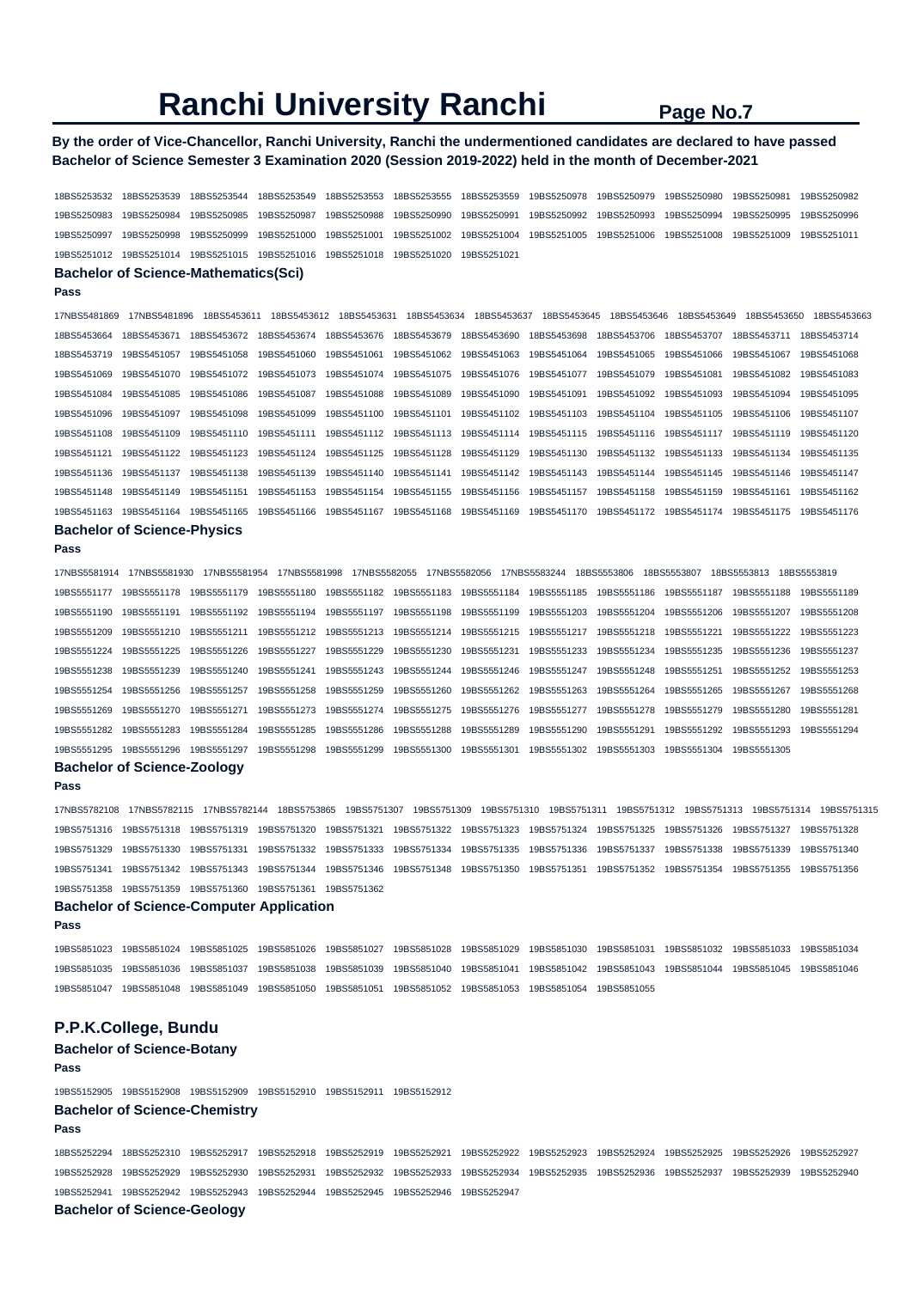## **By the order of Vice-Chancellor, Ranchi University, Ranchi the undermentioned candidates are declared to have passed Bachelor of Science Semester 3 Examination 2020 (Session 2019-2022) held in the month of December-2021**

18BS5253532 18BS5253539 18BS5253544 18BS5253549 18BS5253553 18BS5253555 18BS5253559 19BS5250978 19BS5250979 19BS5250980 19BS5250981 19BS5250982 19BS5250983 19BS5250984 19BS5250985 19BS5250987 19BS5250988 19BS5250990 19BS5250991 19BS5250992 19BS5250993 19BS5250994 19BS5250995 19BS5250996 19BS5250997 19BS5250998 19BS5250999 19BS5251000 19BS5251001 19BS5251002 19BS5251004 19BS5251005 19BS5251006 19BS5251008 19BS5251009 19BS5251011 19BS5251012 19BS5251014 19BS5251015 19BS5251016 19BS5251018 19BS5251020 19BS5251021 **Bachelor of Science-Mathematics(Sci) Pass**  17NBS5481869 17NBS5481896 18BS5453611 18BS5453612 18BS5453631 18BS5453634 18BS5453637 18BS5453645 18BS5453646 18BS5453649 18BS5453650 18BS5453663 18BS5453664 18BS5453671 18BS5453672 18BS5453674 18BS5453676 18BS5453679 18BS5453690 18BS5453698 18BS5453706 18BS5453707 18BS5453711 18BS5453714 18BS5453719 19BS5451057 19BS5451058 19BS5451060 19BS5451061 19BS5451062 19BS5451063 19BS5451064 19BS5451065 19BS5451066 19BS5451067 19BS5451068 19BS5451069 19BS5451070 19BS5451072 19BS5451073 19BS5451074 19BS5451075 19BS5451076 19BS5451077 19BS5451079 19BS5451081 19BS5451082 19BS5451083 19BS5451084 19BS5451085 19BS5451086 19BS5451087 19BS5451088 19BS5451089 19BS5451090 19BS5451091 19BS5451092 19BS5451093 19BS5451094 19BS5451095 19BS5451096 19BS5451097 19BS5451098 19BS5451099 19BS5451100 19BS5451101 19BS5451102 19BS5451103 19BS5451104 19BS5451105 19BS5451106 19BS5451107 19BS5451108 19BS5451109 19BS5451110 19BS5451111 19BS5451112 19BS5451113 19BS5451114 19BS5451115 19BS5451116 19BS5451117 19BS5451119 19BS5451120 19BS5451121 19BS5451122 19BS5451123 19BS5451124 19BS5451125 19BS5451128 19BS5451129 19BS5451130 19BS5451132 19BS5451133 19BS5451134 19BS5451135 19BS5451136 19BS5451137 19BS5451138 19BS5451139 19BS5451140 19BS5451141 19BS5451142 19BS5451143 19BS5451144 19BS5451145 19BS5451146 19BS5451147 19BS5451148 19BS5451149 19BS5451151 19BS5451153 19BS5451154 19BS5451155 19BS5451156 19BS5451157 19BS5451158 19BS5451159 19BS5451161 19BS5451162 19BS5451163 19BS5451164 19BS5451165 19BS5451166 19BS5451167 19BS5451168 19BS5451169 19BS5451170 19BS5451172 19BS5451174 19BS5451175 19BS5451176 **Bachelor of Science-Physics** 

```
Pass
```
17NBS5581914 17NBS5581930 17NBS5581954 17NBS5581998 17NBS5582055 17NBS5582056 17NBS5583244 18BS5553806 18BS5553807 18BS5553813 18BS5553819 19BS5551177 19BS5551178 19BS5551179 19BS5551180 19BS5551182 19BS5551183 19BS5551184 19BS5551185 19BS5551186 19BS5551187 19BS5551188 19BS5551189 19BS5551190 19BS5551191 19BS5551192 19BS5551194 19BS5551197 19BS5551198 19BS5551199 19BS5551203 19BS5551204 19BS5551206 19BS5551207 19BS5551208 19BS5551209 19BS5551210 19BS5551211 19BS5551212 19BS5551213 19BS5551214 19BS5551215 19BS5551217 19BS5551218 19BS5551221 19BS5551222 19BS5551223 19BS5551224 19BS5551225 19BS5551226 19BS5551227 19BS5551229 19BS5551230 19BS5551231 19BS5551233 19BS5551234 19BS5551235 19BS5551236 19BS5551237 19BS5551238 19BS5551239 19BS5551240 19BS5551241 19BS5551243 19BS5551244 19BS5551246 19BS5551247 19BS5551248 19BS5551251 19BS5551252 19BS5551253 19BS5551254 19BS5551256 19BS5551257 19BS5551258 19BS5551259 19BS5551260 19BS5551262 19BS5551263 19BS5551264 19BS5551265 19BS5551267 19BS5551268 19BS5551269 19BS5551270 19BS5551271 19BS5551273 19BS5551274 19BS5551275 19BS5551276 19BS5551277 19BS5551278 19BS5551279 19BS5551280 19BS5551281 19BS5551282 19BS5551283 19BS5551284 19BS5551285 19BS5551286 19BS5551288 19BS5551289 19BS5551290 19BS5551291 19BS5551292 19BS5551293 19BS5551294 19BS5551295 19BS5551296 19BS5551297 19BS5551298 19BS5551299 19BS5551300 19BS5551301 19BS5551302 19BS5551303 19BS5551304 19BS5551305 **Bachelor of Science-Zoology** 

## **Pass**

17NBS5782108 17NBS5782115 17NBS5782144 18BS5753865 19BS5751307 19BS5751309 19BS5751310 19BS5751311 19BS5751312 19BS5751313 19BS5751314 19BS5751315 19BS5751316 19BS5751318 19BS5751319 19BS5751320 19BS5751321 19BS5751322 19BS5751323 19BS5751324 19BS5751325 19BS5751326 19BS5751327 19BS5751328 19BS5751329 19BS5751330 19BS5751331 19BS5751332 19BS5751333 19BS5751334 19BS5751335 19BS5751336 19BS5751337 19BS5751338 19BS5751339 19BS5751340 19BS5751341 19BS5751342 19BS5751343 19BS5751344 19BS5751346 19BS5751348 19BS5751350 19BS5751351 19BS5751352 19BS5751354 19BS5751355 19BS5751356 19BS5751358 19BS5751359 19BS5751360 19BS5751361 19BS5751362

#### **Bachelor of Science-Computer Application**

```
Pass
```
19BS5851023 19BS5851024 19BS5851025 19BS5851026 19BS5851027 19BS5851028 19BS5851029 19BS5851030 19BS5851031 19BS5851032 19BS5851033 19BS5851034 19BS5851035 19BS5851036 19BS5851037 19BS5851038 19BS5851039 19BS5851040 19BS5851041 19BS5851042 19BS5851043 19BS5851044 19BS5851045 19BS5851046

19BS5851047 19BS5851048 19BS5851049 19BS5851050 19BS5851051 19BS5851052 19BS5851053 19BS5851054 19BS5851055

## **P.P.K.College, Bundu**

## **Bachelor of Science-Botany**

**Pass**  19BS5152905 19BS5152908 19BS5152909 19BS5152910 19BS5152911 19BS5152912 **Bachelor of Science-Chemistry** 

#### **Pass**

18BS5252294 18BS5252310 19BS5252917 19BS5252918 19BS5252919 19BS5252921 19BS5252922 19BS5252923 19BS5252924 19BS5252925 19BS5252926 19BS5252927 19BS5252928 19BS5252929 19BS5252930 19BS5252931 19BS5252932 19BS5252933 19BS5252934 19BS5252935 19BS5252936 19BS5252937 19BS5252939 19BS5252940 19BS5252941 19BS5252942 19BS5252943 19BS5252944 19BS5252945 19BS5252946 19BS5252947 **Bachelor of Science-Geology**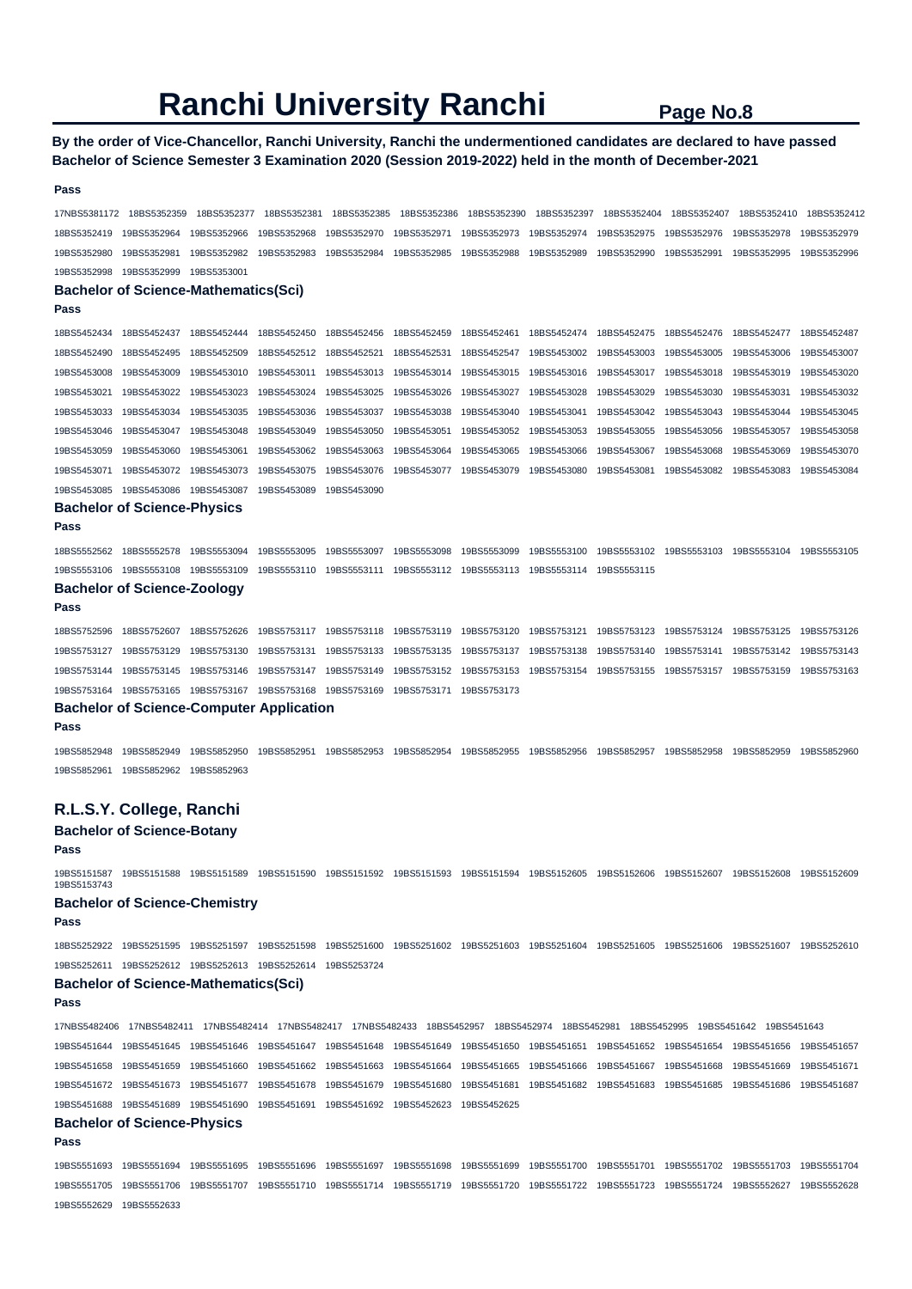## **By the order of Vice-Chancellor, Ranchi University, Ranchi the undermentioned candidates are declared to have passed Bachelor of Science Semester 3 Examination 2020 (Session 2019-2022) held in the month of December-2021**

| Pass         |                                                                                                                         |             |             |             |             |             |             |             |             |                                                                                                                                                 |             |
|--------------|-------------------------------------------------------------------------------------------------------------------------|-------------|-------------|-------------|-------------|-------------|-------------|-------------|-------------|-------------------------------------------------------------------------------------------------------------------------------------------------|-------------|
| 17NBS5381172 | 18BS5352359                                                                                                             | 18BS5352377 | 18BS5352381 | 18BS5352385 | 18BS5352386 | 18BS5352390 | 18BS5352397 | 18BS5352404 | 18BS5352407 | 18BS5352410                                                                                                                                     | 18BS5352412 |
| 18BS5352419  | 19BS5352964                                                                                                             | 19BS5352966 | 19BS5352968 | 19BS5352970 | 19BS5352971 | 19BS5352973 | 19BS5352974 | 19BS5352975 | 19BS5352976 | 19BS5352978                                                                                                                                     | 19BS5352979 |
| 19BS5352980  | 19BS5352981                                                                                                             | 19BS5352982 | 19BS5352983 | 19BS5352984 | 19BS5352985 | 19BS5352988 | 19BS5352989 | 19BS5352990 | 19BS5352991 | 19BS5352995                                                                                                                                     | 19BS5352996 |
| 19BS5352998  | 19BS5352999                                                                                                             | 19BS5353001 |             |             |             |             |             |             |             |                                                                                                                                                 |             |
|              | <b>Bachelor of Science-Mathematics(Sci)</b>                                                                             |             |             |             |             |             |             |             |             |                                                                                                                                                 |             |
| Pass         |                                                                                                                         |             |             |             |             |             |             |             |             |                                                                                                                                                 |             |
| 18BS5452434  | 18BS5452437                                                                                                             | 18BS5452444 | 18BS5452450 | 18BS5452456 | 18BS5452459 | 18BS5452461 | 18BS5452474 | 18BS5452475 | 18BS5452476 | 18BS5452477                                                                                                                                     | 18BS5452487 |
| 18BS5452490  | 18BS5452495                                                                                                             | 18BS5452509 | 18BS5452512 | 18BS5452521 | 18BS5452531 | 18BS5452547 | 19BS5453002 | 19BS5453003 | 19BS5453005 | 19BS5453006                                                                                                                                     | 19BS5453007 |
| 19BS5453008  | 19BS5453009                                                                                                             | 19BS5453010 | 19BS5453011 | 19BS5453013 | 19BS5453014 | 19BS5453015 | 19BS5453016 | 19BS5453017 | 19BS5453018 | 19BS5453019                                                                                                                                     | 19BS5453020 |
| 19BS5453021  | 19BS5453022                                                                                                             | 19BS5453023 | 19BS5453024 | 19BS5453025 | 19BS5453026 | 19BS5453027 | 19BS5453028 | 19BS5453029 | 19BS5453030 | 19BS5453031                                                                                                                                     | 19BS5453032 |
| 19BS5453033  | 19BS5453034                                                                                                             | 19BS5453035 | 19BS5453036 | 19BS5453037 | 19BS5453038 | 19BS5453040 | 19BS5453041 | 19BS5453042 | 19BS5453043 | 19BS5453044                                                                                                                                     | 19BS5453045 |
| 19BS5453046  | 19BS5453047                                                                                                             | 19BS5453048 | 19BS5453049 | 19BS5453050 | 19BS5453051 | 19BS5453052 | 19BS5453053 | 19BS5453055 | 19BS5453056 | 19BS5453057                                                                                                                                     | 19BS5453058 |
| 19BS5453059  | 19BS5453060                                                                                                             | 19BS5453061 | 19BS5453062 | 19BS5453063 | 19BS5453064 | 19BS5453065 | 19BS5453066 | 19BS5453067 | 19BS5453068 | 19BS5453069                                                                                                                                     | 19BS5453070 |
| 19BS5453071  | 19BS5453072                                                                                                             | 19BS5453073 | 19BS5453075 | 19BS5453076 | 19BS5453077 | 19BS5453079 | 19BS5453080 | 19BS5453081 | 19BS5453082 | 19BS5453083                                                                                                                                     | 19BS5453084 |
| 19BS5453085  | 19BS5453086                                                                                                             | 19BS5453087 | 19BS5453089 | 19BS5453090 |             |             |             |             |             |                                                                                                                                                 |             |
|              | <b>Bachelor of Science-Physics</b>                                                                                      |             |             |             |             |             |             |             |             |                                                                                                                                                 |             |
| Pass         |                                                                                                                         |             |             |             |             |             |             |             |             |                                                                                                                                                 |             |
| 18BS5552562  | 18BS5552578                                                                                                             | 19BS5553094 | 19BS5553095 | 19BS5553097 | 19BS5553098 | 19BS5553099 | 19BS5553100 | 19BS5553102 | 19BS5553103 | 19BS5553104                                                                                                                                     | 19BS5553105 |
| 19BS5553106  | 19BS5553108                                                                                                             | 19BS5553109 | 19BS5553110 | 19BS5553111 | 19BS5553112 | 19BS5553113 | 19BS5553114 | 19BS5553115 |             |                                                                                                                                                 |             |
|              | <b>Bachelor of Science-Zoology</b>                                                                                      |             |             |             |             |             |             |             |             |                                                                                                                                                 |             |
| Pass         |                                                                                                                         |             |             |             |             |             |             |             |             |                                                                                                                                                 |             |
| 18BS5752596  | 18BS5752607                                                                                                             | 18BS5752626 | 19BS5753117 | 19BS5753118 | 19BS5753119 | 19BS5753120 | 19BS5753121 | 19BS5753123 | 19BS5753124 | 19BS5753125                                                                                                                                     | 19BS5753126 |
| 19BS5753127  | 19BS5753129                                                                                                             | 19BS5753130 | 19BS5753131 | 19BS5753133 | 19BS5753135 | 19BS5753137 | 19BS5753138 | 19BS5753140 | 19BS5753141 | 19BS5753142                                                                                                                                     | 19BS5753143 |
| 19BS5753144  | 19BS5753145                                                                                                             | 19BS5753146 | 19BS5753147 | 19BS5753149 | 19BS5753152 | 19BS5753153 | 19BS5753154 | 19BS5753155 | 19BS5753157 | 19BS5753159                                                                                                                                     | 19BS5753163 |
| 19BS5753164  | 19BS5753165                                                                                                             | 19BS5753167 | 19BS5753168 | 19BS5753169 | 19BS5753171 | 19BS5753173 |             |             |             |                                                                                                                                                 |             |
| Pass         | <b>Bachelor of Science-Computer Application</b>                                                                         |             |             |             |             |             |             |             |             |                                                                                                                                                 |             |
| 19BS5852948  | 19BS5852949                                                                                                             | 19BS5852950 | 19BS5852951 | 19BS5852953 | 19BS5852954 | 19BS5852955 | 19BS5852956 | 19BS5852957 | 19BS5852958 | 19BS5852959                                                                                                                                     | 19BS5852960 |
| 19BS5852961  | 19BS5852962                                                                                                             | 19BS5852963 |             |             |             |             |             |             |             |                                                                                                                                                 |             |
|              |                                                                                                                         |             |             |             |             |             |             |             |             |                                                                                                                                                 |             |
|              | R.L.S.Y. College, Ranchi                                                                                                |             |             |             |             |             |             |             |             |                                                                                                                                                 |             |
|              | <b>Bachelor of Science-Botany</b>                                                                                       |             |             |             |             |             |             |             |             |                                                                                                                                                 |             |
| Pass         |                                                                                                                         |             |             |             |             |             |             |             |             |                                                                                                                                                 |             |
| 19BS5153743  |                                                                                                                         |             |             |             |             |             |             |             |             | 19BS5151587 19BS5151588 19BS5151589 19BS5151590 19BS5151592 19BS5151593 19BS5151594 19BS5152605 19BS5152606 19BS5152607 19BS5152608 19BS5152608 |             |
|              | <b>Bachelor of Science-Chemistry</b>                                                                                    |             |             |             |             |             |             |             |             |                                                                                                                                                 |             |
| Pass         |                                                                                                                         |             |             |             |             |             |             |             |             |                                                                                                                                                 |             |
|              |                                                                                                                         |             |             |             |             |             |             |             |             | 18BS5252922 19BS5251595 19BS5251597 19BS5251598 19BS5251600 19BS5251602 19BS5251603 19BS5251604 19BS5251605 19BS5251606 19BS5251607 19BS5252516 |             |
|              | 19BS5252611  19BS5252612  19BS5252613  19BS5252614  19BS5253724                                                         |             |             |             |             |             |             |             |             |                                                                                                                                                 |             |
|              | Bachelor of Science-Mathematics(Sci)                                                                                    |             |             |             |             |             |             |             |             |                                                                                                                                                 |             |
| Pass         |                                                                                                                         |             |             |             |             |             |             |             |             |                                                                                                                                                 |             |
|              |                                                                                                                         |             |             |             |             |             |             |             |             | 17NBS5482406 17NBS5482411 17NBS5482414 17NBS5482417 17NBS5482433 18BS5452957 18BS5452974 18BS5452981 18BS5452995 19BS5451642 19BS5451643        |             |
|              |                                                                                                                         |             |             |             |             |             |             |             |             | 19BS5451644 19BS5451645 19BS5451646 19BS5451647 19BS5451648 19BS5451649 19BS5451650 19BS5451651 19BS5451652 19BS5451654 19BS5451656 19BS5451657 |             |
|              | 19BS5451658 19BS5451659 19BS5451660 19BS5451662 19BS5451663 19BS5451664 19BS5451665 19BS5451666 19BS5451667 19BS5451668 |             |             |             |             |             |             |             |             | 19BS5451669                                                                                                                                     | 19BS5451671 |
|              |                                                                                                                         |             |             |             |             |             |             |             |             | 19BS5451672 19BS5451673 19BS5451677 19BS5451678 19BS5451679 19BS5451680 19BS5451681 19BS5451682 19BS5451683 19BS5451685 19BS5451686 19BS5451687 |             |
|              | 19BS5451688 19BS5451689 19BS5451690 19BS5451691 19BS5451692 19BS5452623 19BS5452625                                     |             |             |             |             |             |             |             |             |                                                                                                                                                 |             |

## **Bachelor of Science-Physics**

**Pass** 

19BS5551693 19BS5551694 19BS5551695 19BS5551696 19BS5551697 19BS5551698 19BS5551699 19BS5551700 19BS5551701 19BS5551702 19BS5551703 19BS5551704 19BS5551705 19BS5551706 19BS5551707 19BS5551710 19BS5551714 19BS5551719 19BS5551720 19BS5551722 19BS5551723 19BS5551724 19BS5552627 19BS5552628 19BS5552629 19BS5552633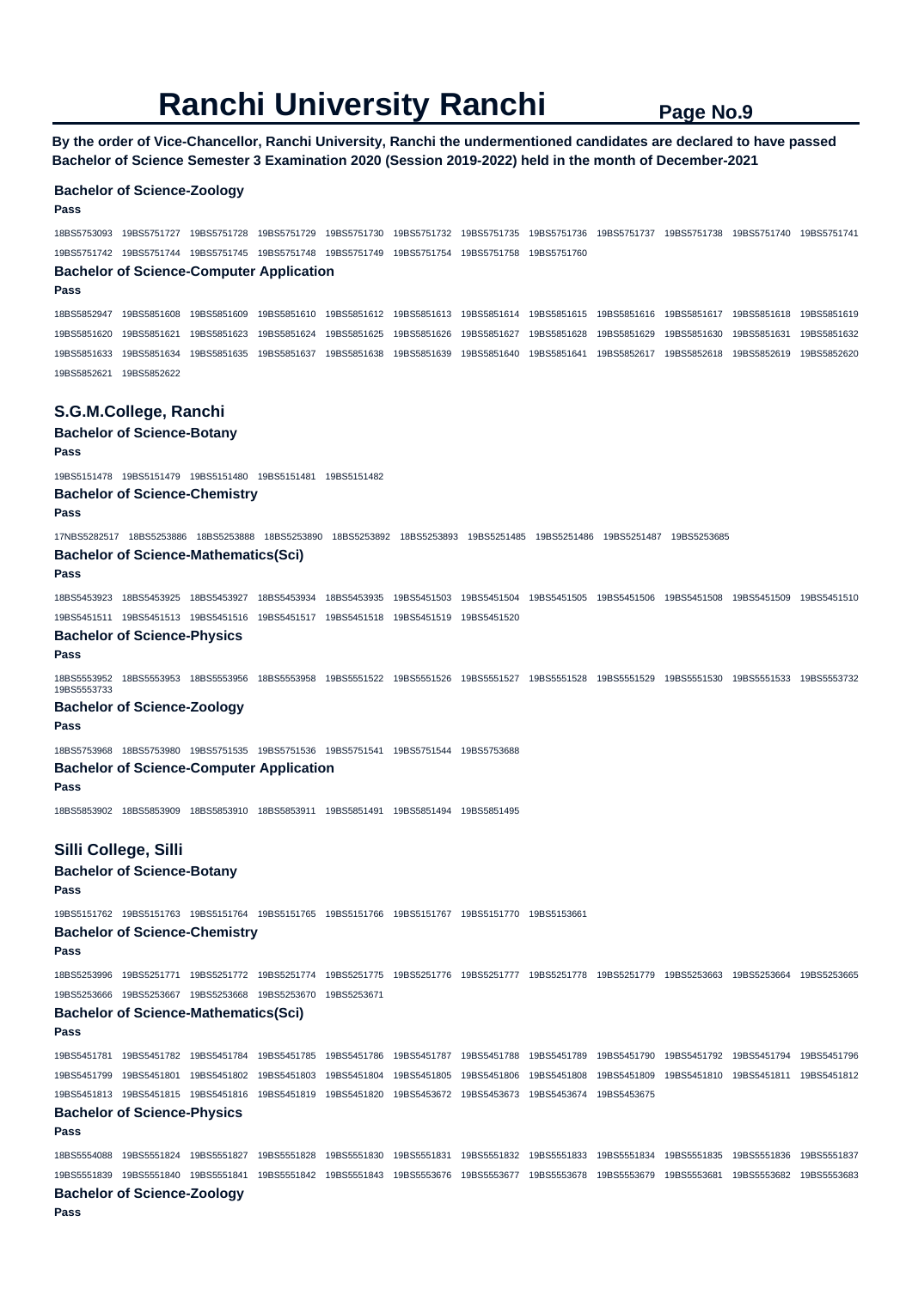**By the order of Vice-Chancellor, Ranchi University, Ranchi the undermentioned candidates are declared to have passed Bachelor of Science Semester 3 Examination 2020 (Session 2019-2022) held in the month of December-2021** 

## **Bachelor of Science-Zoology Pass**  18BS5753093 19BS5751727 19BS5751728 19BS5751729 19BS5751730 19BS5751732 19BS5751735 19BS5751736 19BS5751737 19BS5751738 19BS5751740 19BS5751741 19BS5751742 19BS5751744 19BS5751745 19BS5751748 19BS5751749 19BS5751754 19BS5751758 19BS5751760 **Bachelor of Science-Computer Application Pass**  18BS5852947 19BS5851608 19BS5851609 19BS5851610 19BS5851612 19BS5851613 19BS5851614 19BS5851615 19BS5851616 19BS5851617 19BS5851618 19BS5851619 19BS5851620 19BS5851621 19BS5851623 19BS5851624 19BS5851625 19BS5851626 19BS5851627 19BS5851628 19BS5851629 19BS5851630 19BS5851631 19BS5851632 19BS5851633 19BS5851634 19BS5851635 19BS5851637 19BS5851638 19BS5851639 19BS5851640 19BS5851641 19BS5852617 19BS5852618 19BS5852619 19BS5852620 19BS5852621 19BS5852622 **S.G.M.College, Ranchi Bachelor of Science-Botany Pass**  19BS5151478 19BS5151479 19BS5151480 19BS5151481 19BS5151482 **Bachelor of Science-Chemistry Pass**  17NBS5282517 18BS5253886 18BS5253888 18BS5253890 18BS5253892 18BS5253893 19BS5251485 19BS5251486 19BS5251487 19BS5253685 **Bachelor of Science-Mathematics(Sci) Pass**  18BS5453923 18BS5453925 18BS5453927 18BS5453934 18BS5453935 19BS5451503 19BS5451504 19BS5451505 19BS5451506 19BS5451508 19BS5451509 19BS5451510 19BS5451511 19BS5451513 19BS5451516 19BS5451517 19BS5451518 19BS5451519 19BS5451520 **Bachelor of Science-Physics Pass**  18BS5553952 18BS5553953 18BS5553956 18BS5553958 19BS5551522 19BS5551526 19BS5551527 19BS5551528 19BS5551529 19BS5551530 19BS5551533 19BS5553732 19BS5553733 **Bachelor of Science-Zoology Pass**

18BS5753968 18BS5753980 19BS5751535 19BS5751536 19BS5751541 19BS5751544 19BS5753688

## **Bachelor of Science-Computer Application**

**Pass** 

18BS5853902 18BS5853909 18BS5853910 18BS5853911 19BS5851491 19BS5851494 19BS5851495

## **Silli College, Silli**

**Bachelor of Science-Botany** 

**Pass** 

19BS5151762 19BS5151763 19BS5151764 19BS5151765 19BS5151766 19BS5151767 19BS5151770 19BS5153661

## **Bachelor of Science-Chemistry**

**Pass** 

18BS5253996 19BS5251771 19BS5251772 19BS5251774 19BS5251775 19BS5251776 19BS5251777 19BS5251778 19BS5251779 19BS5253663 19BS5253664 19BS5253665 19BS5253666 19BS5253667 19BS5253668 19BS5253670 19BS5253671

#### **Bachelor of Science-Mathematics(Sci) Pass**

19BS5451781 19BS5451782 19BS5451784 19BS5451785 19BS5451786 19BS5451787 19BS5451788 19BS5451789 19BS5451790 19BS5451792 19BS5451794 19BS5451796 19BS5451799 19BS5451801 19BS5451802 19BS5451803 19BS5451804 19BS5451805 19BS5451806 19BS5451808 19BS5451809 19BS5451810 19BS5451811 19BS5451812 19BS5451813 19BS5451815 19BS5451816 19BS5451819 19BS5451820 19BS5453672 19BS5453673 19BS5453674 19BS5453675

#### **Bachelor of Science-Physics Pass**

18BS5554088 19BS5551824 19BS5551827 19BS5551828 19BS5551830 19BS5551831 19BS5551832 19BS5551833 19BS5551834 19BS5551835 19BS5551836 19BS5551837 19BS5551839 19BS5551840 19BS5551841 19BS5551842 19BS5551843 19BS5553676 19BS5553677 19BS5553678 19BS5553679 19BS5553681 19BS5553682 19BS5553683 **Bachelor of Science-Zoology** 

**Pass**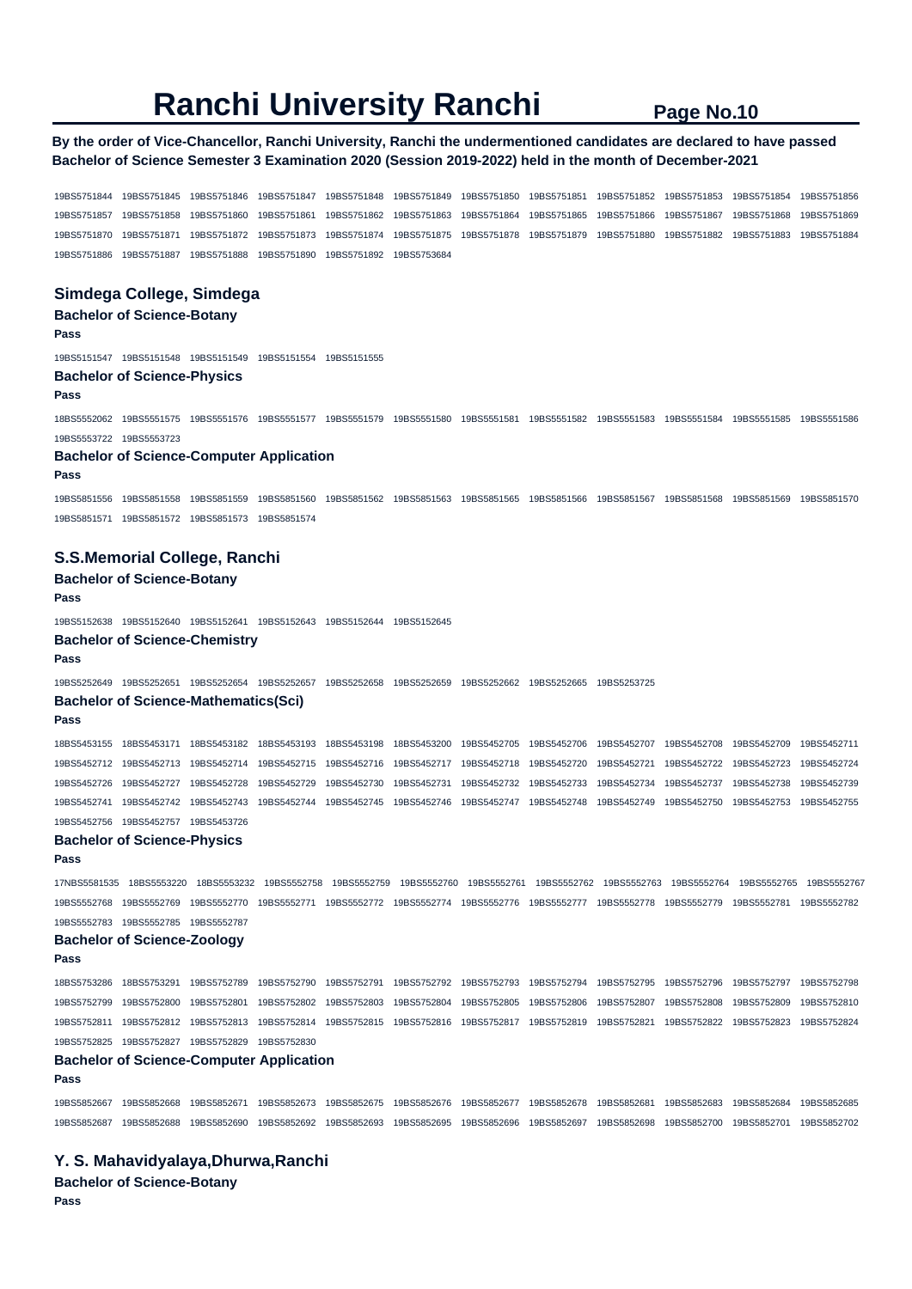## **By the order of Vice-Chancellor, Ranchi University, Ranchi the undermentioned candidates are declared to have passed Bachelor of Science Semester 3 Examination 2020 (Session 2019-2022) held in the month of December-2021**

19BS5751844 19BS5751845 19BS5751846 19BS5751847 19BS5751848 19BS5751849 19BS5751850 19BS5751851 19BS5751852 19BS5751853 19BS5751854 19BS5751856 19BS5751857 19BS5751858 19BS5751860 19BS5751861 19BS5751862 19BS5751863 19BS5751864 19BS5751865 19BS5751866 19BS5751867 19BS5751868 19BS5751869 19BS5751870 19BS5751871 19BS5751872 19BS5751873 19BS5751874 19BS5751875 19BS5751878 19BS5751879 19BS5751880 19BS5751882 19BS5751883 19BS5751884 19BS5751886 19BS5751887 19BS5751888 19BS5751890 19BS5751892 19BS5753684

## **Simdega College, Simdega**

## **Bachelor of Science-Botany Pass**

19BS5151547 19BS5151548 19BS5151549 19BS5151554 19BS5151555

#### **Bachelor of Science-Physics**

#### **Pass**

18BS5552062 19BS5551575 19BS5551576 19BS5551577 19BS5551579 19BS5551580 19BS5551581 19BS5551582 19BS5551583 19BS5551584 19BS5551585 19BS5551586 19BS5553722 19BS5553723

#### **Bachelor of Science-Computer Application**

#### **Pass**

19BS5851556 19BS5851558 19BS5851559 19BS5851560 19BS5851562 19BS5851563 19BS5851565 19BS5851566 19BS5851567 19BS5851568 19BS5851569 19BS5851570 19BS5851571 19BS5851572 19BS5851573 19BS5851574

#### **S.S.Memorial College, Ranchi**

## **Bachelor of Science-Botany**

### **Pass**

19BS5152638 19BS5152640 19BS5152641 19BS5152643 19BS5152644 19BS5152645

**Bachelor of Science-Chemistry** 

#### **Pass**

19BS5252649 19BS5252651 19BS5252654 19BS5252657 19BS5252658 19BS5252659 19BS5252662 19BS5252665 19BS5253725

## **Bachelor of Science-Mathematics(Sci)**

**Pass** 

18BS5453155 18BS5453171 18BS5453182 18BS5453193 18BS5453198 18BS5453200 19BS5452705 19BS5452706 19BS5452707 19BS5452708 19BS5452709 19BS5452711 19BS5452712 19BS5452713 19BS5452714 19BS5452715 19BS5452716 19BS5452717 19BS5452718 19BS5452720 19BS5452721 19BS5452722 19BS5452723 19BS5452724 19BS5452726 19BS5452727 19BS5452728 19BS5452729 19BS5452730 19BS5452731 19BS5452732 19BS5452733 19BS5452734 19BS5452737 19BS5452738 19BS5452739 19BS5452741 19BS5452742 19BS5452743 19BS5452744 19BS5452745 19BS5452746 19BS5452747 19BS5452748 19BS5452749 19BS5452750 19BS5452753 19BS5452755 19BS5452756 19BS5452757 19BS5453726

## **Bachelor of Science-Physics**

#### **Pass**

17NBS5581535 18BS5553220 18BS5553232 19BS5552758 19BS5552759 19BS5552760 19BS5552761 19BS5552762 19BS5552763 19BS5552764 19BS5552765 19BS5552767 19BS5552768 19BS5552769 19BS5552770 19BS5552771 19BS5552772 19BS5552774 19BS5552776 19BS5552777 19BS5552778 19BS5552779 19BS5552781 19BS5552782 19BS5552783 19BS5552785 19BS5552787

#### **Bachelor of Science-Zoology**

**Pass** 

18BS5753286 18BS5753291 19BS5752789 19BS5752790 19BS5752791 19BS5752792 19BS5752793 19BS5752794 19BS5752795 19BS5752796 19BS5752797 19BS5752798 19BS5752799 19BS5752800 19BS5752801 19BS5752802 19BS5752803 19BS5752804 19BS5752805 19BS5752806 19BS5752807 19BS5752808 19BS5752809 19BS5752810 19BS5752811 19BS5752812 19BS5752813 19BS5752814 19BS5752815 19BS5752816 19BS5752817 19BS5752819 19BS5752821 19BS5752822 19BS5752823 19BS5752824 19BS5752825 19BS5752827 19BS5752829 19BS5752830

### **Bachelor of Science-Computer Application**

#### **Pass**

19BS5852667 19BS5852668 19BS5852671 19BS5852673 19BS5852675 19BS5852676 19BS5852677 19BS5852678 19BS5852681 19BS5852683 19BS5852684 19BS5852685 19BS5852687 19BS5852688 19BS5852690 19BS5852692 19BS5852693 19BS5852695 19BS5852696 19BS5852697 19BS5852698 19BS5852700 19BS5852701 19BS5852702

## **Y. S. Mahavidyalaya,Dhurwa,Ranchi**

**Bachelor of Science-Botany Pass**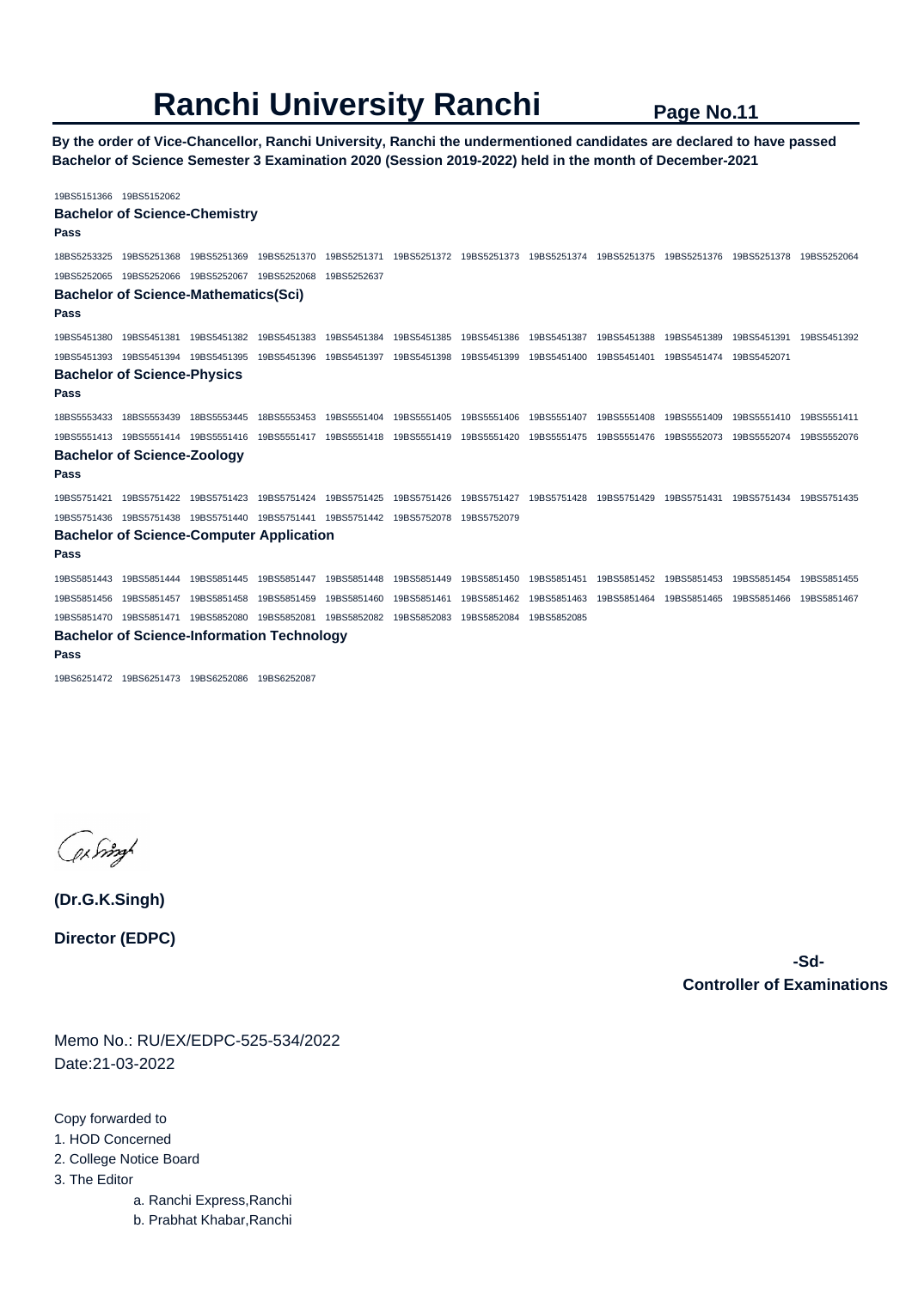**By the order of Vice-Chancellor, Ranchi University, Ranchi the undermentioned candidates are declared to have passed Bachelor of Science Semester 3 Examination 2020 (Session 2019-2022) held in the month of December-2021** 

19BS5151366 19BS5152062 **Bachelor of Science-Chemistry Pass**  18BS5253325 19BS5251368 19BS5251369 19BS5251370 19BS5251371 19BS5251372 19BS5251373 19BS5251374 19BS5251375 19BS5251376 19BS5251378 19BS5252064 19BS5252065 19BS5252066 19BS5252067 19BS5252068 19BS5252637 **Bachelor of Science-Mathematics(Sci) Pass**  19BS5451380 19BS5451381 19BS5451382 19BS5451383 19BS5451384 19BS5451385 19BS5451386 19BS5451387 19BS5451388 19BS5451389 19BS5451391 19BS5451392 19BS5451393 19BS5451394 19BS5451395 19BS5451396 19BS5451397 19BS5451398 19BS5451399 19BS5451400 19BS5451401 19BS5451474 19BS5452071 **Bachelor of Science-Physics Pass**  18BS5553433 18BS5553439 18BS5553445 18BS5553453 19BS5551404 19BS5551405 19BS5551406 19BS5551407 19BS5551408 19BS5551409 19BS5551410 19BS5551411 19BS5551413 19BS5551414 19BS5551416 19BS5551417 19BS5551418 19BS5551419 19BS5551420 19BS5551475 19BS5551476 19BS5552073 19BS5552074 19BS5552076 **Bachelor of Science-Zoology Pass**  19BS5751421 19BS5751422 19BS5751423 19BS5751424 19BS5751425 19BS5751426 19BS5751427 19BS5751428 19BS5751429 19BS5751431 19BS5751434 19BS5751435 19BS5751436 19BS5751438 19BS5751440 19BS5751441 19BS5751442 19BS5752078 19BS5752079 **Bachelor of Science-Computer Application Pass**  19BS5851443 19BS5851444 19BS5851445 19BS5851447 19BS5851448 19BS5851449 19BS5851450 19BS5851451 19BS5851452 19BS5851453 19BS5851454 19BS5851455 19BS5851456 19BS5851457 19BS5851458 19BS5851459 19BS5851460 19BS5851461 19BS5851462 19BS5851463 19BS5851464 19BS5851465 19BS5851466 19BS5851467 19BS5851470 19BS5851471 19BS5852080 19BS5852081 19BS5852082 19BS5852083 19BS5852084 19BS5852085 **Bachelor of Science-Information Technology** 

**Pass** 

19BS6251472 19BS6251473 19BS6252086 19BS6252087

by right

**(Dr.G.K.Singh)**

**Director (EDPC)**

 **-Sd-Controller of Examinations** 

Memo No.: RU/EX/EDPC-525-534/2022 Date:21-03-2022

Copy forwarded to

- 1. HOD Concerned
- 2. College Notice Board

3. The Editor

- a. Ranchi Express,Ranchi
- b. Prabhat Khabar,Ranchi